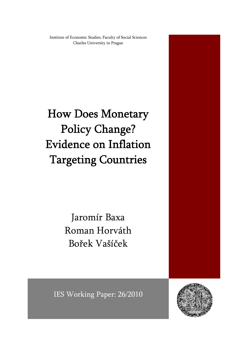Institute of Economic Studies, Faculty of Social Sciences Charles University in Prague

How Does Monetary Policy Change? Evidence on Inflation Targeting Countries

> Jaromír Baxa Roman Horváth Bořek Vašíček

IES Working Paper: 26/2010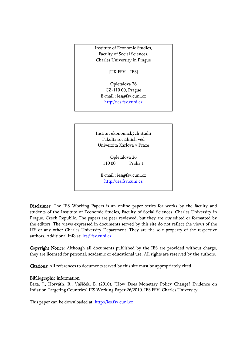Institute of Economic Studies, Faculty of Social Sciences, Charles University in Prague

[UK FSV – IES]

Opletalova 26 CZ-110 00, Prague E-mail : ies@fsv.cuni.cz http://ies.fsv.cuni.cz

Institut ekonomických studií Fakulta sociálních věd Univerzita Karlova v Praze

> Opletalova 26 110 00 Praha 1

E-mail : ies@fsv.cuni.cz http://ies.fsv.cuni.cz

Disclaimer: The IES Working Papers is an online paper series for works by the faculty and students of the Institute of Economic Studies, Faculty of Social Sciences, Charles University in Prague, Czech Republic. The papers are peer reviewed, but they are *not* edited or formatted by the editors. The views expressed in documents served by this site do not reflect the views of the IES or any other Charles University Department. They are the sole property of the respective authors. Additional info at: ies@fsv.cuni.cz

Copyright Notice: Although all documents published by the IES are provided without charge, they are licensed for personal, academic or educational use. All rights are reserved by the authors.

Citations: All references to documents served by this site must be appropriately cited.

#### Bibliographic information:

Baxa, J., Horváth, R., Vašíček, B. (2010). "How Does Monetary Policy Change? Evidence on Inflation Targeting Countries" IES Working Paper 26/2010. IES FSV. Charles University.

This paper can be downloaded at: http://ies.fsv.cuni.cz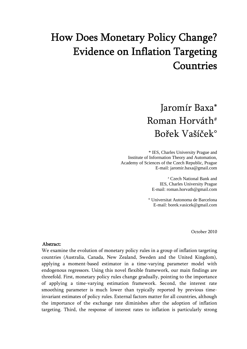# How Does Monetary Policy Change? Evidence on Inflation Targeting Countries

# Jaromír Baxa\* Roman Horváth# Bořek Vašíček°

 \* IES, Charles University Prague and Institute of Information Theory and Automation, Academy of Sciences of the Czech Republic, Prague E-mail: jaromir.baxa@gmail.com

> # Czech National Bank and IES, Charles University Prague E-mail: roman.horvath@gmail.com

° Universitat Autonoma de Barcelona E-mail: borek.vasicek@gmail.com

October 2010

#### Abstract:

We examine the evolution of monetary policy rules in a group of inflation targeting countries (Australia, Canada, New Zealand, Sweden and the United Kingdom), applying a moment-based estimator in a time-varying parameter model with endogenous regressors. Using this novel flexible framework, our main findings are threefold. First, monetary policy rules change gradually, pointing to the importance of applying a time-varying estimation framework. Second, the interest rate smoothing parameter is much lower than typically reported by previous timeinvariant estimates of policy rules. External factors matter for all countries, although the importance of the exchange rate diminishes after the adoption of inflation targeting. Third, the response of interest rates to inflation is particularly strong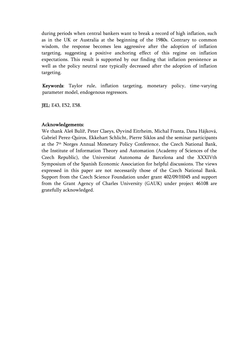during periods when central bankers want to break a record of high inflation, such as in the UK or Australia at the beginning of the 1980s. Contrary to common wisdom, the response becomes less aggressive after the adoption of inflation targeting, suggesting a positive anchoring effect of this regime on inflation expectations. This result is supported by our finding that inflation persistence as well as the policy neutral rate typically decreased after the adoption of inflation targeting.

Keywords: Taylor rule, inflation targeting, monetary policy, time-varying parameter model, endogenous regressors.

JEL: E43, E52, E58.

### Acknowledgements:

We thank Aleš Bulíř, Peter Claeys, Øyvind Eitrheim, Michal Franta, Dana Hájková, Gabriel Perez-Quiros, Ekkehart Schlicht, Pierre Siklos and the seminar participants at the 7th Norges Annual Monetary Policy Conference, the Czech National Bank, the Institute of Information Theory and Automation (Academy of Sciences of the Czech Republic), the Universitat Autonoma de Barcelona and the XXXIVth Symposium of the Spanish Economic Association for helpful discussions. The views expressed in this paper are not necessarily those of the Czech National Bank. Support from the Czech Science Foundation under grant 402/09/H045 and support from the Grant Agency of Charles University (GAUK) under project 46108 are gratefully acknowledged.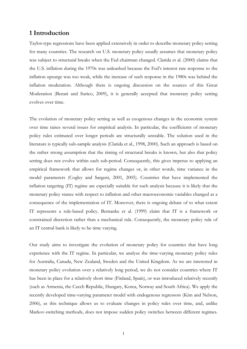# **1 Introduction**

Taylor-type regressions have been applied extensively in order to describe monetary policy setting for many countries. The research on U.S. monetary policy usually assumes that monetary policy was subject to structural breaks when the Fed chairman changed. Clarida et al. (2000) claims that the U.S. inflation during the 1970s was unleashed because the Fed's interest rate response to the inflation upsurge was too weak, while the increase of such response in the 1980s was behind the inflation moderation. Although there is ongoing discussion on the sources of this Great Moderation (Benati and Surico, 2009), it is generally accepted that monetary policy setting evolves over time.

The evolution of monetary policy setting as well as exogenous changes in the economic system over time raises several issues for empirical analysis. In particular, the coefficients of monetary policy rules estimated over longer periods are structurally unstable. The solution used in the literature is typically sub-sample analysis (Clarida et al., 1998, 2000). Such an approach is based on the rather strong assumption that the timing of structural breaks is known, but also that policy setting does not evolve within each sub-period. Consequently, this gives impetus to applying an empirical framework that allows for regime changes or, in other words, time variance in the model parameters (Cogley and Sargent, 2001, 2005). Countries that have implemented the inflation targeting (IT) regime are especially suitable for such analysis because it is likely that the monetary policy stance with respect to inflation and other macroeconomic variables changed as a consequence of the implementation of IT. Moreover, there is ongoing debate of to what extent IT represents a rule-based policy. Bernanke et al. (1999) claim that IT is a framework or constrained discretion rather than a mechanical rule. Consequently, the monetary policy rule of an IT central bank is likely to be time varying.

Our study aims to investigate the evolution of monetary policy for countries that have long experience with the IT regime. In particular, we analyze the time-varying monetary policy rules for Australia, Canada, New Zealand, Sweden and the United Kingdom. As we are interested in monetary policy evolution over a relatively long period, we do not consider countries where IT has been in place for a relatively short time (Finland, Spain), or was introduced relatively recently (such as Armenia, the Czech Republic, Hungary, Korea, Norway and South Africa). We apply the recently developed time-varying parameter model with endogenous regressors (Kim and Nelson, 2006), as this technique allows us to evaluate changes in policy rules over time, and, unlike Markov-switching methods, does not impose sudden policy switches between different regimes.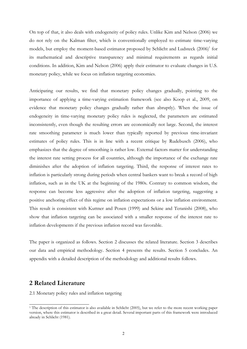On top of that, it also deals with endogeneity of policy rules. Unlike Kim and Nelson (2006) we do not rely on the Kalman filter, which is conventionally employed to estimate time-varying models, but employ the moment-based estimator proposed by Schlicht and Ludsteck (2006)<sup>1</sup> for its mathematical and descriptive transparency and minimal requirements as regards initial conditions. In addition, Kim and Nelson (2006) apply their estimator to evaluate changes in U.S. monetary policy, while we focus on inflation targeting economies.

Anticipating our results, we find that monetary policy changes gradually, pointing to the importance of applying a time-varying estimation framework (see also Koop et al., 2009, on evidence that monetary policy changes gradually rather than abruptly). When the issue of endogeneity in time-varying monetary policy rules is neglected, the parameters are estimated inconsistently, even though the resulting errors are economically not large. Second, the interest rate smoothing parameter is much lower than typically reported by previous time-invariant estimates of policy rules. This is in line with a recent critique by Rudebusch (2006), who emphasizes that the degree of smoothing is rather low. External factors matter for understanding the interest rate setting process for all countries, although the importance of the exchange rate diminishes after the adoption of inflation targeting. Third, the response of interest rates to inflation is particularly strong during periods when central bankers want to break a record of high inflation, such as in the UK at the beginning of the 1980s. Contrary to common wisdom, the response can become less aggressive after the adoption of inflation targeting, suggesting a positive anchoring effect of this regime on inflation expectations or a low inflation environment. This result is consistent with Kuttner and Posen (1999) and Sekine and Teranishi (2008), who show that inflation targeting can be associated with a smaller response of the interest rate to inflation developments if the previous inflation record was favorable.

The paper is organized as follows. Section 2 discusses the related literature. Section 3 describes our data and empirical methodology. Section 4 presents the results. Section 5 concludes. An appendix with a detailed description of the methodology and additional results follows.

# **2 Related Literature**

-

2.1 Monetary policy rules and inflation targeting

<sup>&</sup>lt;sup>1</sup> The description of this estimator is also available in Schlicht (2005), but we refer to the more recent working paper version, where this estimator is described in a great detail. Several important parts of this framework were introduced already in Schlicht (1981).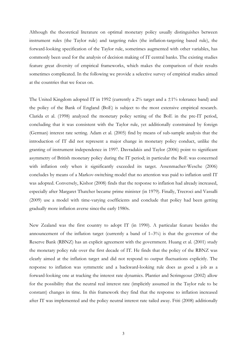Although the theoretical literature on optimal monetary policy usually distinguishes between instrument rules (the Taylor rule) and targeting rules (the inflation-targeting based rule), the forward-looking specification of the Taylor rule, sometimes augmented with other variables, has commonly been used for the analysis of decision making of IT central banks. The existing studies feature great diversity of empirical frameworks, which makes the comparison of their results sometimes complicated. In the following we provide a selective survey of empirical studies aimed at the countries that we focus on.

The United Kingdom adopted IT in 1992 (currently a  $2\%$  target and a  $\pm 1\%$  tolerance band) and the policy of the Bank of England (BoE) is subject to the most extensive empirical research. Clarida et al. (1998) analyzed the monetary policy setting of the BoE in the pre-IT period, concluding that it was consistent with the Taylor rule, yet additionally constrained by foreign (German) interest rate setting. Adam et al. (2005) find by means of sub-sample analysis that the introduction of IT did not represent a major change in monetary policy conduct, unlike the granting of instrument independence in 1997. Davradakis and Taylor (2006) point to significant asymmetry of British monetary policy during the IT period; in particular the BoE was concerned with inflation only when it significantly exceeded its target. Assenmacher-Wesche (2006) concludes by means of a Markov-switching model that no attention was paid to inflation until IT was adopted. Conversely, Kishor (2008) finds that the response to inflation had already increased, especially after Margaret Thatcher became prime minister (in 1979). Finally, Trecroci and Vassalli (2009) use a model with time-varying coefficients and conclude that policy had been getting gradually more inflation averse since the early 1980s.

New Zealand was the first country to adopt IT (in 1990). A particular feature besides the announcement of the inflation target (currently a band of  $1-3\%$ ) is that the governor of the Reserve Bank (RBNZ) has an explicit agreement with the government. Huang et al. (2001) study the monetary policy rule over the first decade of IT. He finds that the policy of the RBNZ was clearly aimed at the inflation target and did not respond to output fluctuations explicitly. The response to inflation was symmetric and a backward-looking rule does as good a job as a forward-looking one at tracking the interest rate dynamics. Plantier and Scrimgeour (2002) allow for the possibility that the neutral real interest rate (implicitly assumed in the Taylor rule to be constant) changes in time. In this framework they find that the response to inflation increased after IT was implemented and the policy neutral interest rate tailed away. Ftiti (2008) additionally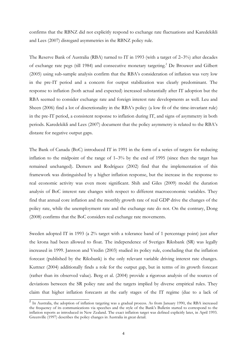confirms that the RBNZ did not explicitly respond to exchange rate fluctuations and Karedekikli and Lees (2007) disregard asymmetries in the RBNZ policy rule.

The Reserve Bank of Australia (RBA) turned to IT in 1993 (with a target of 2–3%) after decades of exchange rate pegs (till 1984) and consecutive monetary targeting.<sup>2</sup> De Brouwer and Gilbert (2005) using sub-sample analysis confirm that the RBA's consideration of inflation was very low in the pre-IT period and a concern for output stabilization was clearly predominant. The response to inflation (both actual and expected) increased substantially after IT adoption but the RBA seemed to consider exchange rate and foreign interest rate developments as well. Leu and Sheen (2006) find a lot of discretionality in the RBA's policy (a low fit of the time-invariant rule) in the pre-IT period, a consistent response to inflation during IT, and signs of asymmetry in both periods. Karedekikli and Lees (2007) document that the policy asymmetry is related to the RBA's distaste for negative output gaps.

The Bank of Canada (BoC) introduced IT in 1991 in the form of a series of targets for reducing inflation to the midpoint of the range of  $1-3\%$  by the end of 1995 (since then the target has remained unchanged). Demers and Rodríguez (2002) find that the implementation of this framework was distinguished by a higher inflation response, but the increase in the response to real economic activity was even more significant. Shih and Giles (2009) model the duration analysis of BoC interest rate changes with respect to different macroeconomic variables. They find that annual core inflation and the monthly growth rate of real GDP drive the changes of the policy rate, while the unemployment rate and the exchange rate do not. On the contrary, Dong (2008) confirms that the BoC considers real exchange rate movements.

Sweden adopted IT in 1993 (a 2% target with a tolerance band of 1 percentage point) just after the krona had been allowed to float. The independence of Sveriges Riksbank (SR) was legally increased in 1999. Jansson and Vredin (2003) studied its policy rule, concluding that the inflation forecast (published by the Riksbank) is the only relevant variable driving interest rate changes. Kuttner (2004) additionally finds a role for the output gap, but in terms of its growth forecast (rather than its observed value). Berg et al. (2004) provide a rigorous analysis of the sources of deviations between the SR policy rate and the targets implied by diverse empirical rules. They claim that higher inflation forecasts at the early stages of the IT regime (due to a lack of

 $\overline{a}$  In Australia, the adoption of inflation targeting was a gradual process. As from January 1990, the RBA increased the frequency of its communications via speeches and the style of the Bank's Bulletin started to correspond to the inflation reports as introduced in New Zealand. The exact inflation target was defined explicitly later, in April 1993. Greenville (1997) describes the policy changes in Australia in great detail.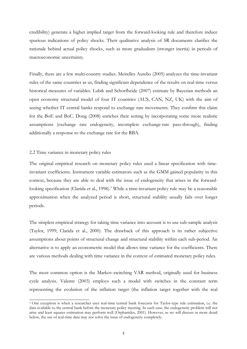credibility) generate a higher implied target from the forward-looking rule and therefore induce spurious indications of policy shocks. Their qualitative analysis of SR documents clarifies the rationale behind actual policy shocks, such as more gradualism (stronger inertia) in periods of macroeconomic uncertainty.

Finally, there are a few multi-country studies. Meirelles Aurelio (2005) analyzes the time-invariant rules of the same countries as us, finding significant dependence of the results on real-time versus historical measures of variables. Lubik and Schorfheide (2007) estimate by Bayesian methods an open economy structural model of four IT countries (AUS, CAN, NZ, UK) with the aim of seeing whether IT central banks respond to exchange rate movements. They confirm this claim for the BoE and BoC. Dong (2008) enriches their setting by incorporating some more realistic assumptions (exchange rate endogeneity, incomplete exchange-rate pass-through), finding additionally a response to the exchange rate for the RBA.

#### 2.2 Time variance in monetary policy rules

-

The original empirical research on monetary policy rules used a linear specification with timeinvariant coefficients. Instrument variable estimators such as the GMM gained popularity in this context, because they are able to deal with the issue of endogeneity that arises in the forwardlooking specification (Clarida et al., 1998).<sup>3</sup> While a time-invariant policy rule may be a reasonable approximation when the analyzed period is short, structural stability usually fails over longer periods.

The simplest empirical strategy for taking time variance into account is to use sub-sample analysis (Taylor, 1999; Clarida et al., 2000). The drawback of this approach is its rather subjective assumptions about points of structural change and structural stability within each sub-period. An alternative is to apply an econometric model that allows time variance for the coefficients. There are various methods dealing with time variance in the context of estimated monetary policy rules.

The most common option is the Markov-switching VAR method, originally used for business cycle analysis. Valente (2003) employs such a model with switches in the constant term representing the evolution of the inflation target (the inflation target together with the real

<sup>3</sup> One exception is when a researcher uses real-time central bank forecasts for Taylor-type rule estimation, i.e. the data available to the central bank before the monetary policy meeting. In such case, the endogeneity problem will not arise and least squares estimation may perform well (Orphanides, 2001). However, as we will discuss in more detail below, the use of real-time data may not solve the issue of endogeneity completely.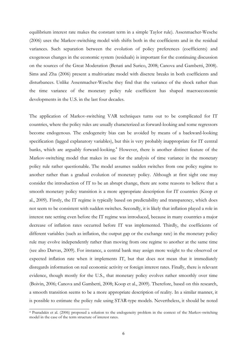equilibrium interest rate makes the constant term in a simple Taylor rule). Assenmacher-Wesche (2006) uses the Markov-switching model with shifts both in the coefficients and in the residual variances. Such separation between the evolution of policy preferences (coefficients) and exogenous changes in the economic system (residuals) is important for the continuing discussion on the sources of the Great Moderation (Benati and Surico, 2008; Canova and Gambetti, 2008). Sims and Zha (2006) present a multivariate model with discrete breaks in both coefficients and disturbances. Unlike Assenmacher-Wesche they find that the variance of the shock rather than the time variance of the monetary policy rule coefficient has shaped macroeconomic developments in the U.S. in the last four decades.

The application of Markov-switching VAR techniques turns out to be complicated for IT countries, where the policy rules are usually characterized as forward-looking and some regressors become endogenous. The endogeneity bias can be avoided by means of a backward-looking specification (lagged explanatory variables), but this is very probably inappropriate for IT central banks, which are arguably forward-looking.<sup>4</sup> However, there is another distinct feature of the Markov-switching model that makes its use for the analysis of time variance in the monetary policy rule rather questionable. The model assumes sudden switches from one policy regime to another rather than a gradual evolution of monetary policy. Although at first sight one may consider the introduction of IT to be an abrupt change, there are some reasons to believe that a smooth monetary policy transition is a more appropriate description for IT countries (Koop et al., 2009). Firstly, the IT regime is typically based on predictability and transparency, which does not seem to be consistent with sudden switches. Secondly, it is likely that inflation played a role in interest rate setting even before the IT regime was introduced, because in many countries a major decrease of inflation rates occurred before IT was implemented. Thirdly, the coefficients of different variables (such as inflation, the output gap or the exchange rate) in the monetary policy rule may evolve independently rather than moving from one regime to another at the same time (see also Darvas, 2009). For instance, a central bank may assign more weight to the observed or expected inflation rate when it implements IT, but that does not mean that it immediately disregards information on real economic activity or foreign interest rates. Finally, there is relevant evidence, though mostly for the U.S., that monetary policy evolves rather smoothly over time (Boivin, 2006; Canova and Gambetti, 2008; Koop et al., 2009). Therefore, based on this research, a smooth transition seems to be a more appropriate description of reality. In a similar manner, it is possible to estimate the policy rule using STAR-type models. Nevertheless, it should be noted

-

<sup>4</sup> Psaradakis et al. (2006) proposed a solution to the endogeneity problem in the context of the Markov-switching model in the case of the term structure of interest rates.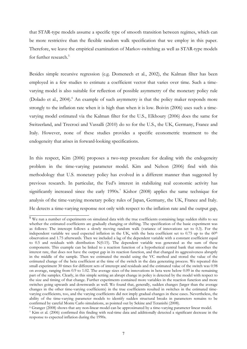that STAR-type models assume a specific type of smooth transition between regimes, which can be more restrictive than the flexible random walk specification that we employ in this paper. Therefore, we leave the empirical examination of Markov-switching as well as STAR-type models for further research.<sup>5</sup>

Besides simple recursive regression (e.g. Domenech et al., 2002), the Kalman filter has been employed in a few studies to estimate a coefficient vector that varies over time. Such a timevarying model is also suitable for reflection of possible asymmetry of the monetary policy rule (Dolado et al., 2004).<sup>6</sup> An example of such asymmetry is that the policy maker responds more strongly to the inflation rate when it is high than when it is low. Boivin (2006) uses such a timevarying model estimated via the Kalman filter for the U.S., Elkhoury (2006) does the same for Switzerland, and Trecroci and Vassalli (2010) do so for the U.S., the UK, Germany, France and Italy. However, none of these studies provides a specific econometric treatment to the endogeneity that arises in forward-looking specifications.

In this respect, Kim (2006) proposes a two-step procedure for dealing with the endogeneity problem in the time-varying parameter model. Kim and Nelson (2006) find with this methodology that U.S. monetary policy has evolved in a different manner than suggested by previous research. In particular, the Fed's interest in stabilizing real economic activity has significantly increased since the early  $1990s$ .<sup>7</sup> Kishor (2008) applies the same technique for analysis of the time-varying monetary policy rules of Japan, Germany, the UK, France and Italy. He detects a time-varying response not only with respect to the inflation rate and the output gap,

 $\degree$  Granger (2008) shows that any non-linear model can be approximated by a time-varying parameter linear model.<br>
<sup>7</sup> Kim et al. (2006) confirmed this finding with real-time data and additionally detected a significant d

 $\overline{\text{5}$  We run a number of experiments on simulated data with the true coefficients containing large sudden shifts to see whether the estimated coefficients are gradually changing or shifting. The specification of the basic experiment was as follows: The intercept follows a slowly moving random walk (variance of innovations set to 0.3). For the independent variable we used expected inflation in the UK, with the beta coefficient set to 0.75 up to the 60<sup>th</sup> observation and 1.75 afterwards. Then we included a lag of the dependent variable with a constant coefficient equal to  $0.5$  and residuals with distribution  $N(0.15)$ . The dependent variable was generated as the sum of these components. This example can be linked to a reaction function of a hypothetical central bank that smoothes the interest rate, that does not have the output gap in its reaction function, and that changed its aggressiveness abruptly in the middle of the sample. Then we estimated the model using the VC method and stored the value of the estimated change of the beta coefficient at the time of the switch in the data generating process. We repeated this small experiment 30 times for different sets of intercept and residuals and the estimated value of the switch was 0.98 on average, ranging from 0.9 to 1.02. The average sizes of the innovations in beta were below 0.09 in the remaining part of the samples. Clearly, in this simple setting an abrupt change in policy is detected by the model with respect to the size and timing of that change. Further experiments contained more variables in the reaction function and more switches going upwards and downwards as well. We found that, generally, sudden changes (larger than the average changes in the other time-varying coefficients) in the true coefficients resulted in switches in the estimated timevarying coefficients, too, and the varying coefficients did not imply gradual changes in these cases. Nevertheless, the ability of the time-varying parameter models to identify sudden structural breaks in parameters remains to be confirmed by careful Monte Carlo simulations, as pointed out by Sekine and Teranishi (2008).

response to expected inflation during the 1990s.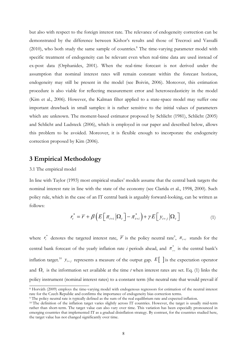but also with respect to the foreign interest rate. The relevance of endogeneity correction can be demonstrated by the difference between Kishor's results and those of Trecroci and Vassalli (2010), who both study the same sample of countries.<sup>8</sup> The time-varying parameter model with specific treatment of endogeneity can be relevant even when real-time data are used instead of ex-post data (Orphanides, 2001). When the real-time forecast is not derived under the assumption that nominal interest rates will remain constant within the forecast horizon, endogeneity may still be present in the model (see Boivin, 2006). Moreover, this estimation procedure is also viable for reflecting measurement error and heteroscedasticity in the model (Kim et al., 2006). However, the Kalman filter applied to a state-space model may suffer one important drawback in small samples: it is rather sensitive to the initial values of parameters which are unknown. The moment-based estimator proposed by Schlicht (1981), Schlicht (2005) and Schlicht and Ludsteck (2006), which is employed in our paper and described below, allows this problem to be avoided. Moreover, it is flexible enough to incorporate the endogeneity correction proposed by Kim (2006).

## **3 Empirical Methodology**

#### 3.1 The empirical model

<u>.</u>

In line with Taylor (1993) most empirical studies' models assume that the central bank targets the nominal interest rate in line with the state of the economy (see Clarida et al., 1998, 2000). Such policy rule, which in the case of an IT central bank is arguably forward-looking, can be written as follows:

$$
r_t^* = \overline{r} + \beta \left( E \left[ \pi_{t+i} \left| \Omega_t \right] - \pi_{t+i}^* \right) + \gamma E \left[ \gamma_{t+j} \left| \Omega_t \right] \right) \tag{1}
$$

where  $r_t^*$  denotes the targeted interest rate,  $\overline{r}$  is the policy neutral rate<sup>9</sup>,  $\pi_{t+i}$  stands for the central bank forecast of the yearly inflation rate *i* periods ahead, and  $\pi_{\mu i}^{*}$  is the central bank's inflation target.<sup>10</sup>  $y_{t+j}$  represents a measure of the output gap.  $E[\ ]$  is the expectation operator and  $\Omega$ , is the information set available at the time *t* when interest rates are set. Eq. (1) links the policy instrument (nominal interest rates) to a constant term (the neutral rate that would prevail if

<sup>8</sup> Horváth (2009) employs the time-varying model with endogenous regressors for estimation of the neutral interest rate for the Czech Republic and confirms the importance of endogeneity bias correction terms.<br><sup>9</sup> The policy neutral rate is typically defined as the sum of the real equilibrium rate and expected inflation.<br><sup>10</sup> The defini

rather than short-term. The target value can also vary over time. This variation has been especially pronounced in emerging countries that implemented IT as a gradual disinflation strategy. By contrast, for the countries studied here, the target value has not changed significantly over time.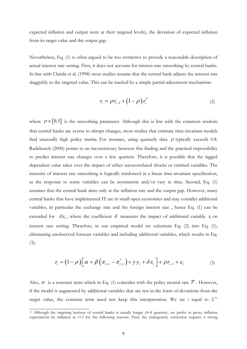expected inflation and output were at their targeted levels), the deviation of expected inflation from its target value and the output gap.

Nevertheless, Eq. (1) is often argued to be too restrictive to provide a reasonable description of actual interest rate setting. First, it does not account for interest rate smoothing by central banks. In line with Clarida et al. (1998) most studies assume that the central bank adjusts the interest rate sluggishly to the targeted value. This can be tracked by a simple partial-adjustment mechanism:

$$
r_t = \rho r_{t-1} + (1 - \rho) r_t^* \tag{2}
$$

where  $\rho \in [0,1]$  is the smoothing parameter. Although this is line with the common wisdom that central banks are averse to abrupt changes, most studies that estimate time-invariant models find unusually high policy inertia. For instance, using quarterly data  $\rho$  typically exceeds 0.8. Rudebusch (2006) points to an inconsistency between this finding and the practical impossibility to predict interest rate changes over a few quarters. Therefore, it is possible that the lagged dependent value takes over the impact of either autocorrelated shocks or omitted variables. The intensity of interest rate smoothing is logically reinforced in a linear time-invariant specification, as the response to some variables can be asymmetric and/or vary in time. Second, Eq. (1) assumes that the central bank aims only at the inflation rate and the output gap. However, many central banks that have implemented IT are in small open economies and may consider additional variables, in particular the exchange rate and the foreign interest rate , hence Eq. (1) can be extended for  $\delta x$ , where the coefficient  $\delta$  measures the impact of additional variable  $x$ , on interest rate setting. Therefore, in our empirical model we substitute Eq. (2) into Eq. (1), eliminating unobserved forecast variables and including additional variables, which results in Eq. (3):

$$
r_{t} = (1 - \rho) \left[ \alpha + \beta \left( \pi_{t+i} - \pi_{t+i}^{*} \right) + \gamma y_{t} + \delta x_{t} \right] + \rho r_{t-1} + \varepsilon_{t}
$$
\n(3)

Also,  $\alpha$  is a constant term which in Eq. (1) coincides with the policy neutral rate  $\overline{r}$ . However, if the model is augmented by additional variables that are not in the form of deviations from the target value, the constant term need not keep this interpretation. We set  $i$  equal to  $2^{11}$ 

<sup>&</sup>lt;sup>11</sup> Although the targeting horizon of central banks is usually longer  $(4-8$  quarters), we prefer to proxy inflation expectations by inflation in *t+2* for the following reasons. First, the endogeneity correction requires a strong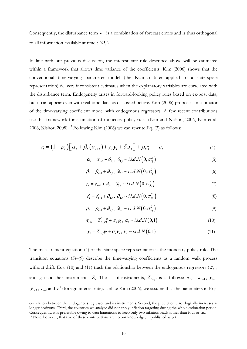Consequently, the disturbance term  $\varepsilon$  is a combination of forecast errors and is thus orthogonal to all information available at time  $t(\Omega_t)$ .

In line with our previous discussion, the interest rate rule described above will be estimated within a framework that allows time variance of the coefficients. Kim (2006) shows that the conventional time-varying parameter model (the Kalman filter applied to a state-space representation) delivers inconsistent estimates when the explanatory variables are correlated with the disturbance term. Endogeneity arises in forward-looking policy rules based on ex-post data, but it can appear even with real-time data, as discussed before. Kim (2006) proposes an estimator of the time-varying coefficient model with endogenous regressors. A few recent contributions use this framework for estimation of monetary policy rules (Kim and Nelson, 2006, Kim et al. 2006, Kishor, 2008). <sup>12</sup> Following Kim (2006) we can rewrite Eq. (3) as follows:

$$
r_{t} = (1 - \rho_{t}) \left[ \alpha_{t} + \beta_{t} \left( \pi_{t+i} \right) + \gamma_{t} y_{t} + \delta_{t} x_{t} \right] + \rho_{t} r_{t-1} + \varepsilon_{t}
$$
\n
$$
\tag{4}
$$

 $\alpha_{t} = \alpha_{t-1} + \beta_{1,t}, \ \beta_{1,t} \sim i.i.d.N\left(0, \sigma_{\beta_{t}}^{2}\right)$  (5)

$$
\beta_t = \beta_{t-1} + \mathcal{G}_{2,t}, \ \mathcal{G}_{2,t} \sim i.i.d.N\left(0, \sigma_{\mathcal{G}_2}^2\right) \tag{6}
$$

$$
\gamma_t = \gamma_{t-1} + \mathcal{G}_{3,t}, \ \mathcal{G}_{3,t} \sim i.i.d.N\left(0, \sigma_{\mathcal{G}_3}^2\right) \tag{7}
$$

$$
\delta_{t} = \delta_{t-1} + \mathcal{G}_{4,t}, \ \mathcal{G}_{4,t} \sim i.i.d.N\left(0, \sigma_{\mathcal{G}_{4}}^{2}\right) \tag{8}
$$

$$
\rho_t = \rho_{t-1} + \mathcal{G}_{5,t}, \ \mathcal{G}_{5,t} \sim i.i.d.N\left(0, \sigma_{\mathcal{G}_5}^2\right) \tag{9}
$$

$$
\pi_{t+i} = Z_{t-j}^{\dagger} \xi + \sigma_{\varphi} \varphi_t, \ \varphi_t \sim i.i.d.N(0,1) \tag{10}
$$

$$
y_t = Z_{t-j}'\psi + \sigma_v \nu_t, \ \nu_t \sim i.i.d.N(0,1)
$$
\n
$$
(11)
$$

The measurement equation (4) of the state-space representation is the monetary policy rule. The transition equations (5)–(9) describe the time-varying coefficients as a random walk process without drift. Eqs. (10) and (11) track the relationship between the endogenous regressors ( $\pi$ <sub>t+i</sub> and  $y_t$ ) and their instruments,  $Z_t$ . The list of instruments,  $Z_{t-i}$ , is as follows:  $\pi_{t-1}$ ,  $\pi_{t-4}$ ,  $y_{t-1}$ ,  $y_{t-2}$ ,  $r_{t-1}$  and  $r_t^+$  (foreign interest rate). Unlike Kim (2006), we assume that the parameters in Eqs.

-

correlation between the endogenous regressor and its instruments. Second, the prediction error logically increases at longer horizons. Third, the countries we analyze did not apply inflation targeting during the whole estimation period. Consequently, it is preferable owing to data limitations to keep only two inflation leads rather than four or six. 12 Note, however, that two of these contributions are, to our knowledge, unpublished as yet.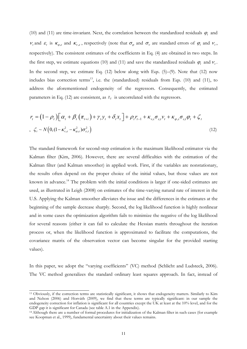(10) and (11) are time-invariant. Next, the correlation between the standardized residuals  $\varphi_t$  and  $v_t$  and  $\varepsilon_t$  is  $\kappa_{\alpha\epsilon}$  and  $\kappa_{v\epsilon}$ , respectively (note that  $\sigma_{\alpha}$  and  $\sigma_{v}$  are standard errors of  $\varphi_t$  and  $v_t$ , respectively). The consistent estimates of the coefficients in Eq. (4) are obtained in two steps. In the first step, we estimate equations (10) and (11) and save the standardized residuals  $\varphi$ , and  $\varphi$ . In the second step, we estimate Eq.  $(12)$  below along with Eqs.  $(5)$ – $(9)$ . Note that  $(12)$  now includes bias correction terms<sup>13</sup>, i.e. the (standardized) residuals from Eqs. (10) and (11), to address the aforementioned endogeneity of the regressors. Consequently, the estimated parameters in Eq. (12) are consistent, as  $z_t$  is uncorrelated with the regressors.

$$
r_{t} = (1 - \rho_{t}) \Big[ \alpha_{t} + \beta_{t} \left( \pi_{t+i} \right) + \gamma_{t} y_{t} + \delta_{t} x_{t} \Big] + \rho_{t} r_{t-1} + \kappa_{v,\varepsilon} \sigma_{\varepsilon,t} v_{t} + \kappa_{\varphi,\varepsilon} \sigma_{\varepsilon,t} \varphi_{t} + \zeta_{t}
$$
  
, 
$$
\zeta_{t} \sim N \Big( 0, (1 - \kappa_{v,\varepsilon}^{2} - \kappa_{\varphi,\varepsilon}^{2}) \sigma_{\varepsilon,t}^{2} \Big)
$$
 (12)

The standard framework for second-step estimation is the maximum likelihood estimator via the Kalman filter (Kim, 2006). However, there are several difficulties with the estimation of the Kalman filter (and Kalman smoother) in applied work. First, if the variables are nonstationary, the results often depend on the proper choice of the initial values, but those values are not known in advance.<sup>14</sup> The problem with the initial conditions is larger if one-sided estimates are used, as illustrated in Leigh (2008) on estimates of the time-varying natural rate of interest in the U.S. Applying the Kalman smoother alleviates the issue and the differences in the estimates at the beginning of the sample decrease sharply. Second, the log likelihood function is highly nonlinear and in some cases the optimization algorithm fails to minimize the negative of the log likelihood for several reasons (either it can fail to calculate the Hessian matrix throughout the iteration process or, when the likelihood function is approximated to facilitate the computations, the covariance matrix of the observation vector can become singular for the provided starting values).

In this paper, we adopt the "varying coefficients" (VC) method (Schlicht and Ludsteck, 2006). The VC method generalizes the standard ordinary least squares approach. In fact, instead of

-

<sup>13</sup> Obviously, if the correction terms are statistically significant, it shows that endogeneity matters. Similarly to Kim and Nelson (2006) and Horváth (2009), we find that these terms are typically significant: in our sample the endogeneity correction for inflation is significant for all countries except the UK at least at the 10% level, and for the GDP gap it is significant for Canada (see table A.1 in the Appendix).<br><sup>14</sup> Although there are a number of formal procedures for initialization of the Kalman filter in such cases (for example

see Koopman et al., 1999), fundamental uncertainty about their values remains.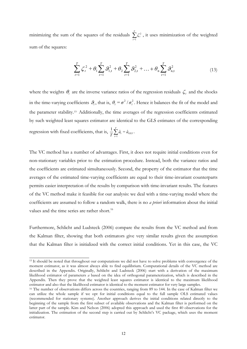minimizing the sum of the squares of the residuals  $\sum_{t=1} \zeta_t^2$ *T*  $\sum_{t=1}$   $\zeta_t^2$ , it uses minimization of the weighted sum of the squares:

$$
\sum_{t=1}^{T} \zeta_t^2 + \theta_1 \sum_{t=1}^{T} \theta_{1,t}^2 + \theta_2 \sum_{t=1}^{T} \theta_{2,t}^2 + \dots + \theta_n \sum_{t=1}^{T} \theta_{n,t}^2
$$
\n(13)

where the weights  $\theta_i$  are the inverse variance ratios of the regression residuals  $\zeta_i$  and the shocks in the time-varying coefficients  $\theta_i$ , that is,  $\theta_i = \sigma^2/\sigma_i^2$ . Hence it balances the fit of the model and the parameter stability.15. Additionally, the time averages of the regression coefficients estimated by such weighted least squares estimator are identical to the GLS estimates of the corresponding regression with fixed coefficients, that is,  $\frac{1}{T}\sum_{t=1}^{T}$  $\frac{1}{T}\sum_{t=1}^T \hat{a}_t = \hat{a}_{GLS}$  $\frac{1}{T}\sum_{t=1}^T \hat{a}_t = \hat{a}_{GLS}.$ 

The VC method has a number of advantages. First, it does not require initial conditions even for non-stationary variables prior to the estimation procedure. Instead, both the variance ratios and the coefficients are estimated simultaneously. Second, the property of the estimator that the time averages of the estimated time-varying coefficients are equal to their time-invariant counterparts permits easier interpretation of the results by comparison with time-invariant results. The features of the VC method make it feasible for our analysis: we deal with a time-varying model where the coefficients are assumed to follow a random walk, there is no *a priori* information about the initial values and the time series are rather short.<sup>16</sup>

Furthermore, Schlicht and Ludsteck (2006) compare the results from the VC method and from the Kalman filter, showing that both estimators give very similar results given the assumption that the Kalman filter is initialized with the correct initial conditions. Yet in this case, the VC

<u>.</u>

<sup>&</sup>lt;sup>15</sup> It should be noted that throughout our computations we did not have to solve problems with convergence of the moment estimator, as it was almost always able to find equilibrium. Computational details of the VC method are described in the Appendix. Originally, Schlicht and Ludsteck (2006) start with a derivation of the maximum likelihood estimator of parameters *a* based on the idea of orthogonal parameterization, which is described in the Appendix. Then they prove that the weighted least squares estimator is identical to the maximum likelihood estimator and also that the likelihood estimator is identical to the moment estimator for very large samples.<br><sup>16</sup> The number of observations differs across the countries, ranging from 89 to 144. In the case of Kalman filt

can utilize the whole sample if we opt for initial conditions equal to the full sample OLS estimated values (recommended for stationary systems). Another approach derives the initial conditions related directly to the beginning of the sample from the first subset of available observations and the Kalman filter is performed on the latter part of the sample. Kim and Nelson (2006) adopted this approach and used the first 40 observations for the initialization. The estimation of the second step is carried out by Schlicht's VC package, which uses the moment estimator.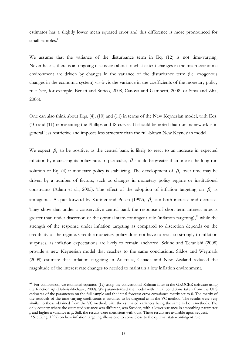estimator has a slightly lower mean squared error and this difference is more pronounced for small samples.<sup>17</sup>

We assume that the variance of the disturbance term in Eq. (12) is not time-varying. Nevertheless, there is an ongoing discussion about to what extent changes in the macroeconomic environment are driven by changes in the variance of the disturbance term (i.e. exogenous changes in the economic system) vis-à-vis the variance in the coefficients of the monetary policy rule (see, for example, Benati and Surico, 2008, Canova and Gambetti, 2008, or Sims and Zha, 2006).

One can also think about Eqs. (4), (10) and (11) in terms of the New Keynesian model, with Eqs. (10) and (11) representing the Phillips and IS curves. It should be noted that our framework is in general less restrictive and imposes less structure than the full-blown New Keynesian model.

We expect  $\beta_t$  to be positive, as the central bank is likely to react to an increase in expected inflation by increasing its policy rate. In particular,  $\beta$ , should be greater than one in the long-run solution of Eq. (4) if monetary policy is stabilizing. The development of  $\beta$ , over time may be driven by a number of factors, such as changes in monetary policy regime or institutional constraints (Adam et al., 2005). The effect of the adoption of inflation targeting on  $\beta_t$  is ambiguous. As put forward by Kuttner and Posen (1999),  $\beta_t$  can both increase and decrease. They show that under a conservative central bank the response of short-term interest rates is greater than under discretion or the optimal state-contingent rule (inflation targeting),<sup>18</sup> while the strength of the response under inflation targeting as compared to discretion depends on the credibility of the regime. Credible monetary policy does not have to react so strongly to inflation surprises, as inflation expectations are likely to remain anchored. Sekine and Teranishi (2008) provide a new Keynesian model that reaches to the same conclusions. Siklos and Weymark (2009) estimate that inflation targeting in Australia, Canada and New Zealand reduced the magnitude of the interest rate changes to needed to maintain a low inflation environment.

<sup>&</sup>lt;sup>17</sup> For comparison, we estimated equation (12) using the conventional Kalman filter in the GROCER software using the function *tvp* (Dubois-Michaux, 2009). We parameterized the model with initial conditions taken from the OLS estimates of the parameters on the full sample and the initial forecast error covariance matrix set to 0. The matrix of the residuals of the time-varying coefficients is assumed to be diagonal as in the VC method. The results were very similar to those obtained from the VC method, with the estimated variances being the same in both methods. The only country where the estimated variance was different, was Sweden, with a lower variance in smoothing parameter *ρ* and higher a variance in *β*. Still, the results were consistent with ours. These results are available upon request. <sup>18</sup> See King (1997) on how inflation targeting allows one to come close to the optimal state-contingent rule.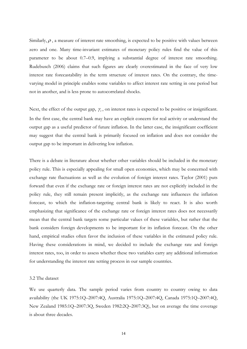Similarly,  $\rho$ , a measure of interest rate smoothing, is expected to be positive with values between zero and one. Many time-invariant estimates of monetary policy rules find the value of this parameter to be about 0.7–0.9, implying a substantial degree of interest rate smoothing. Rudebusch (2006) claims that such figures are clearly overestimated in the face of very low interest rate forecastability in the term structure of interest rates. On the contrary, the timevarying model in principle enables some variables to affect interest rate setting in one period but not in another, and is less prone to autocorrelated shocks.

Next, the effect of the output gap,  $\gamma_t$ , on interest rates is expected to be positive or insignificant. In the first case, the central bank may have an explicit concern for real activity or understand the output gap as a useful predictor of future inflation. In the latter case, the insignificant coefficient may suggest that the central bank is primarily focused on inflation and does not consider the output gap to be important in delivering low inflation.

There is a debate in literature about whether other variables should be included in the monetary policy rule. This is especially appealing for small open economies, which may be concerned with exchange rate fluctuations as well as the evolution of foreign interest rates. Taylor (2001) puts forward that even if the exchange rate or foreign interest rates are not explicitly included in the policy rule, they still remain present implicitly, as the exchange rate influences the inflation forecast, to which the inflation-targeting central bank is likely to react. It is also worth emphasizing that significance of the exchange rate or foreign interest rates does not necessarily mean that the central bank targets some particular values of these variables, but rather that the bank considers foreign developments to be important for its inflation forecast. On the other hand, empirical studies often favor the inclusion of these variables in the estimated policy rule. Having these considerations in mind, we decided to include the exchange rate and foreign interest rates, too, in order to assess whether these two variables carry any additional information for understanding the interest rate setting process in our sample countries.

#### 3.2 The dataset

We use quarterly data. The sample period varies from country to country owing to data availability (the UK 1975:1Q–2007:4Q, Australia 1975:1Q–2007:4Q, Canada 1975:1Q–2007:4Q, New Zealand 1985:1Q–2007:3Q, Sweden 1982:2Q–2007:3Q), but on average the time coverage is about three decades.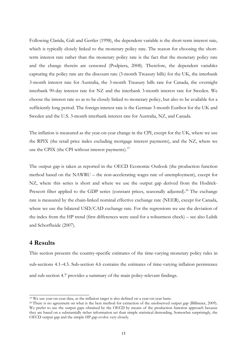Following Clarida, Galí and Gertler (1998), the dependent variable is the short-term interest rate, which is typically closely linked to the monetary policy rate. The reason for choosing the shortterm interest rate rather than the monetary policy rate is the fact that the monetary policy rate and the change therein are censored (Podpiera, 2008). Therefore, the dependent variables capturing the policy rate are the discount rate (3-month Treasury bills) for the UK, the interbank 3-month interest rate for Australia, the 3-month Treasury bills rate for Canada, the overnight interbank 90-day interest rate for NZ and the interbank 3-month interest rate for Sweden. We choose the interest rate so as to be closely linked to monetary policy, but also to be available for a sufficiently long period. The foreign interest rate is the German 3-month Euribor for the UK and Sweden and the U.S. 3-month interbank interest rate for Australia, NZ, and Canada.

The inflation is measured as the year-on-year change in the CPI, except for the UK, where we use the RPIX (the retail price index excluding mortgage interest payments), and the NZ, where we use the CPIX (the CPI without interest payments).<sup>19</sup>

The output gap is taken as reported in the OECD Economic Outlook (the production function method based on the NAWRU – the non-accelerating wages rate of unemployment), except for NZ, where this series is short and where we use the output gap derived from the Hodrick-Prescott filter applied to the GDP series (constant prices, seasonally adjusted).<sup>20</sup> The exchange rate is measured by the chain-linked nominal effective exchange rate (NEER), except for Canada, where we use the bilateral USD/CAD exchange rate. For the regressions we use the deviation of the index from the HP trend (first differences were used for a robustness check) – see also Lubik and Schorfheide (2007).

# **4 Results**

This section presents the country-specific estimates of the time-varying monetary policy rules in sub-sections 4.1–4.5. Sub-section 4.6 contains the estimates of time-varying inflation persistence and sub-section 4.7 provides a summary of the main policy-relevant findings.

 $\frac{19}{19}$  We use year-on-year data, as the inflation target is also defined on a year-on-year basis.

<sup>&</sup>lt;sup>20</sup> There is no agreement on what is the best method for extraction of the unobserved output gap (Billmeier, 2009). We prefer to use the output gaps obtained by the OECD by means of the production function approach because they are based on a substantially richer information set than simple statistical detrending. Somewhat surprisingly, the OECD output gap and the simple HP gap evolve very closely.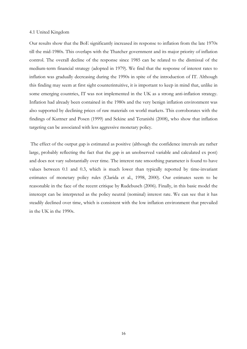#### 4.1 United Kingdom

Our results show that the BoE significantly increased its response to inflation from the late 1970s till the mid-1980s. This overlaps with the Thatcher government and its major priority of inflation control. The overall decline of the response since 1985 can be related to the dismissal of the medium-term financial strategy (adopted in 1979). We find that the response of interest rates to inflation was gradually decreasing during the 1990s in spite of the introduction of IT. Although this finding may seem at first sight counterintuitive, it is important to keep in mind that, unlike in some emerging countries, IT was not implemented in the UK as a strong anti-inflation strategy. Inflation had already been contained in the 1980s and the very benign inflation environment was also supported by declining prices of raw materials on world markets. This corroborates with the findings of Kuttner and Posen (1999) and Sekine and Teranishi (2008), who show that inflation targeting can be associated with less aggressive monetary policy.

 The effect of the output gap is estimated as positive (although the confidence intervals are rather large, probably reflecting the fact that the gap is an unobserved variable and calculated ex post) and does not vary substantially over time. The interest rate smoothing parameter is found to have values between 0.1 and 0.3, which is much lower than typically reported by time-invariant estimates of monetary policy rules (Clarida et al., 1998, 2000). Our estimates seem to be reasonable in the face of the recent critique by Rudebusch (2006). Finally, in this basic model the intercept can be interpreted as the policy neutral (nominal) interest rate. We can see that it has steadily declined over time, which is consistent with the low inflation environment that prevailed in the UK in the 1990s.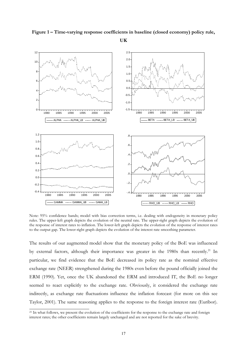

**Figure 1 – Time-varying response coefficients in baseline (closed economy) policy rule,** 

**UK** 

Note: 95% confidence bands; model with bias correction terms, i.e. dealing with endogeneity in monetary policy rules. The upper-left graph depicts the evolution of the neutral rate. The upper-right graph depicts the evolution of the response of interest rates to inflation. The lower-left graph depicts the evolution of the response of interest rates to the output gap. The lower-right graph depicts the evolution of the interest rate smoothing parameter.

The results of our augmented model show that the monetary policy of the BoE was influenced by external factors, although their importance was greater in the 1980s than recently.<sup>21</sup> In particular, we find evidence that the BoE decreased its policy rate as the nominal effective exchange rate (NEER) strengthened during the 1980s even before the pound officially joined the ERM (1990). Yet, once the UK abandoned the ERM and introduced IT, the BoE no longer seemed to react explicitly to the exchange rate. Obviously, it considered the exchange rate indirectly, as exchange rate fluctuations influence the inflation forecast (for more on this see Taylor, 2001). The same reasoning applies to the response to the foreign interest rate (Euribor).

<sup>&</sup>lt;sup>21</sup> In what follows, we present the evolution of the coefficients for the response to the exchange rate and foreign interest rates; the other coefficients remain largely unchanged and are not reported for the sake of brevity.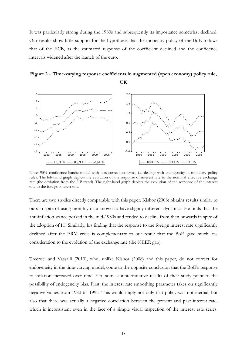It was particularly strong during the 1980s and subsequently its importance somewhat declined. Our results show little support for the hypothesis that the monetary policy of the BoE follows that of the ECB, as the estimated response of the coefficient declined and the confidence intervals widened after the launch of the euro.

# **Figure 2 – Time-varying response coefficients in augmented (open economy) policy rule, UK**



Note: 95% confidence bands; model with bias correction terms, i.e. dealing with endogeneity in monetary policy rules. The left-hand graph depicts the evolution of the response of interest rate to the nominal effective exchange rate (the deviation from the HP trend). The right-hand graph depicts the evolution of the response of the interest rate to the foreign interest rate.

There are two studies directly comparable with this paper. Kishor (2008) obtains results similar to ours in spite of using monthly data known to have slightly different dynamics. He finds that the anti-inflation stance peaked in the mid-1980s and tended to decline from then onwards in spite of the adoption of IT. Similarly, his finding that the response to the foreign interest rate significantly declined after the ERM crisis is complementary to our result that the BoE gave much less consideration to the evolution of the exchange rate (the NEER gap).

Trecroci and Vassalli (2010), who, unlike Kishor (2008) and this paper, do not correct for endogeneity in the time-varying model, come to the opposite conclusion that the BoE's response to inflation increased over time. Yet, some counterintuitive results of their study point to the possibility of endogeneity bias. First, the interest rate smoothing parameter takes on significantly negative values from 1980 till 1995. This would imply not only that policy was not inertial, but also that there was actually a negative correlation between the present and past interest rate, which is inconsistent even in the face of a simple visual inspection of the interest rate series.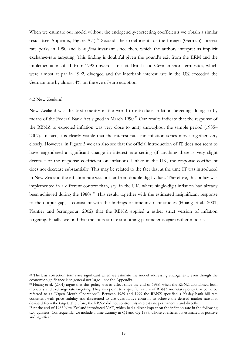When we estimate our model without the endogeneity-correcting coefficients we obtain a similar result (see Appendix, Figure A.1).<sup>22</sup> Second, their coefficient for the foreign (German) interest rate peaks in 1990 and is *de facto* invariant since then, which the authors interpret as implicit exchange-rate targeting. This finding is doubtful given the pound's exit from the ERM and the implementation of IT from 1992 onwards. In fact, British and German short-term rates, which were almost at par in 1992, diverged and the interbank interest rate in the UK exceeded the German one by almost 4% on the eve of euro adoption.

#### 4.2 New Zealand

-

New Zealand was the first country in the world to introduce inflation targeting, doing so by means of the Federal Bank Act signed in March 1990.<sup>23</sup> Our results indicate that the response of the RBNZ to expected inflation was very close to unity throughout the sample period (1985– 2007). In fact, it is clearly visible that the interest rate and inflation series move together very closely. However, in Figure 3 we can also see that the official introduction of IT does not seem to have engendered a significant change in interest rate setting (if anything there is very slight decrease of the response coefficient on inflation). Unlike in the UK, the response coefficient does not decrease substantially. This may be related to the fact that at the time IT was introduced in New Zealand the inflation rate was not far from double-digit values. Therefore, this policy was implemented in a different context than, say, in the UK, where single-digit inflation had already been achieved during the 1980s.<sup>24</sup> This result, together with the estimated insignificant response to the output gap, is consistent with the findings of time-invariant studies (Huang et al., 2001; Plantier and Scrimgeour, 2002) that the RBNZ applied a rather strict version of inflation targeting. Finally, we find that the interest rate smoothing parameter is again rather modest.

<sup>&</sup>lt;sup>22</sup> The bias correction terms are significant when we estimate the model addressing endogeneity, even though the economic significance is in general not large – see the Appendix.<br><sup>23</sup> Huang et al. (2001) argue that this policy was in effect since the end of 1988, when the RBNZ abandoned both

monetary and exchange rate targeting. They also point to a specific feature of RBNZ monetary policy that could be referred to as "Open Mouth Operations". Between 1989 and 1999 the RBNZ specified a 90-day bank bill rate consistent with price stability and threatened to use quantitative controls to achieve the desired market rate if it deviated from the target. Therefore, the RBNZ did not control this interest rate permanently and directly.<br><sup>24</sup> At the end of 1986 New Zealand introduced VAT, which had a direct impact on the inflation rate in the followin

two quarters. Consequently, we include a time dummy in Q1 and Q2 1987, whose coefficient is estimated as positive and significant.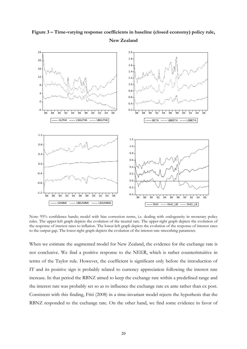

# **Figure 3 – Time-varying response coefficients in baseline (closed economy) policy rule, New Zealand**

Note: 95% confidence bands; model with bias correction terms, i.e. dealing with endogeneity in monetary policy rules. The upper-left graph depicts the evolution of the neutral rate. The upper-right graph depicts the evolution of the response of interest rates to inflation. The lower-left graph depicts the evolution of the response of interest rates to the output gap. The lower-right graph depicts the evolution of the interest rate smoothing parameter.

When we estimate the augmented model for New Zealand, the evidence for the exchange rate is not conclusive. We find a positive response to the NEER, which is rather counterintuitive in terms of the Taylor rule. However, the coefficient is significant only before the introduction of IT and its positive sign is probably related to currency appreciation following the interest rate increase. In that period the RBNZ aimed to keep the exchange rate within a predefined range and the interest rate was probably set so as to influence the exchange rate ex ante rather than ex post. Consistent with this finding, Ftiti (2008) in a time-invariant model rejects the hypothesis that the RBNZ responded to the exchange rate. On the other hand, we find some evidence in favor of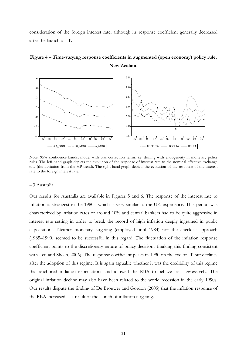consideration of the foreign interest rate, although its response coefficient generally decreased after the launch of IT.



# **Figure 4 – Time-varying response coefficients in augmented (open economy) policy rule, New Zealand**

Note: 95% confidence bands; model with bias correction terms, i.e. dealing with endogeneity in monetary policy rules. The left-hand graph depicts the evolution of the response of interest rate to the nominal effective exchange rate (the deviation from the HP trend). The right-hand graph depicts the evolution of the response of the interest rate to the foreign interest rate.

#### 4.3 Australia

Our results for Australia are available in Figures 5 and 6. The response of the interest rate to inflation is strongest in the 1980s, which is very similar to the UK experience. This period was characterized by inflation rates of around 10% and central bankers had to be quite aggressive in interest rate setting in order to break the record of high inflation deeply ingrained in public expectations. Neither monetary targeting (employed until 1984) nor the checklist approach (1985–1990) seemed to be successful in this regard. The fluctuation of the inflation response coefficient points to the discretionary nature of policy decisions (making this finding consistent with Leu and Sheen, 2006). The response coefficient peaks in 1990 on the eve of IT but declines after the adoption of this regime. It is again arguable whether it was the credibility of this regime that anchored inflation expectations and allowed the RBA to behave less aggressively. The original inflation decline may also have been related to the world recession in the early 1990s. Our results dispute the finding of De Brouwer and Gordon (2005) that the inflation response of the RBA increased as a result of the launch of inflation targeting.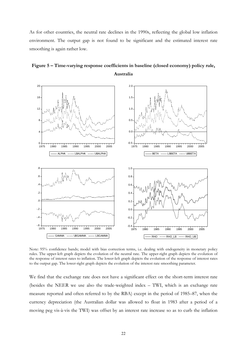As for other countries, the neutral rate declines in the 1990s, reflecting the global low inflation environment. The output gap is not found to be significant and the estimated interest rate smoothing is again rather low.



**Figure 5 – Time-varying response coefficients in baseline (closed economy) policy rule, Australia** 

Note: 95% confidence bands; model with bias correction terms, i.e. dealing with endogeneity in monetary policy rules. The upper-left graph depicts the evolution of the neutral rate. The upper-right graph depicts the evolution of the response of interest rates to inflation. The lower-left graph depicts the evolution of the response of interest rates to the output gap. The lower-right graph depicts the evolution of the interest rate smoothing parameter.

We find that the exchange rate does not have a significant effect on the short-term interest rate (besides the NEER we use also the trade-weighted index – TWI, which is an exchange rate measure reported and often referred to by the RBA) except in the period of 1985–87, when the currency depreciation (the Australian dollar was allowed to float in 1983 after a period of a moving peg vis-à-vis the TWI) was offset by an interest rate increase so as to curb the inflation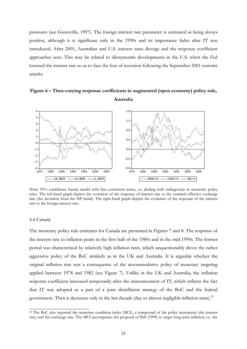pressures (see Greenville, 1997). The foreign interest rate parameter is estimated as being always positive, although it is significant only in the 1990s and its importance fades after IT was introduced. After 2001, Australian and U.S. interest rates diverge and the response coefficient approaches zero. This may be related to idiosyncratic developments in the U.S. when the Fed lowered the interest rate so as to face the fear of recession following the September 2001 terrorist attacks.





Note: 95% confidence bands; model with bias correction terms, i.e. dealing with endogeneity in monetary policy rules. The left-hand graph depicts the evolution of the response of interest rate to the nominal effective exchange rate (the deviation from the HP trend). The right-hand graph depicts the evolution of the response of the interest rate to the foreign interest rate.

#### 4.4 Canada

-

The monetary policy rule estimates for Canada are presented in Figures 7 and 8. The response of the interest rate to inflation peaks in the first half of the 1980s and in the mid-1990s. The former period was characterized by relatively high inflation rates, which unquestionably drove the rather aggressive policy of the BoC similarly as in the UK and Australia. It is arguable whether the original inflation rate was a consequence of the accommodative policy of monetary targeting applied between 1978 and 1982 (see Figure 7). Unlike in the UK and Australia, the inflation response coefficient increased temporarily after the announcement of IT, which reflects the fact that IT was adopted as a part of a joint disinflation strategy of the BoC and the federal government. Then it decreases only in the last decade (due to almost negligible inflation rates).<sup>25</sup>

<sup>&</sup>lt;sup>25</sup> The BoC also reported the monetary condition index (MCI), a compound of the policy instrument (the interest rate) and the exchange rate. The MCI accompanies the proposal of Ball (1999) to target long-term inflation, i.e. the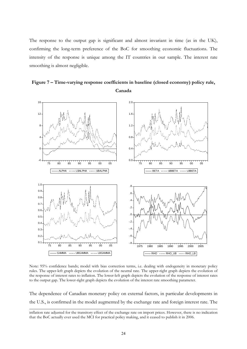The response to the output gap is significant and almost invariant in time (as in the UK), confirming the long-term preference of the BoC for smoothing economic fluctuations. The intensity of the response is unique among the IT countries in our sample. The interest rate smoothing is almost negligible.



**Figure 7 – Time-varying response coefficients in baseline (closed economy) policy rule, Canada** 

Note: 95% confidence bands; model with bias correction terms, i.e. dealing with endogeneity in monetary policy rules. The upper-left graph depicts the evolution of the neutral rate. The upper-right graph depicts the evolution of the response of interest rates to inflation. The lower-left graph depicts the evolution of the response of interest rates to the output gap. The lower-right graph depicts the evolution of the interest rate smoothing parameter.

The dependence of Canadian monetary policy on external factors, in particular developments in the U.S., is confirmed in the model augmented by the exchange rate and foreign interest rate. The

-

inflation rate adjusted for the transitory effect of the exchange rate on import prices. However, there is no indication that the BoC actually ever used the MCI for practical policy making, and it ceased to publish it in 2006.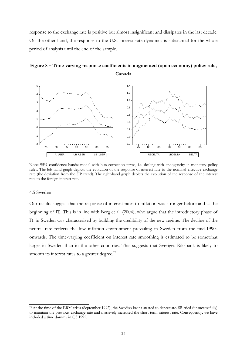response to the exchange rate is positive but almost insignificant and dissipates in the last decade. On the other hand, the response to the U.S. interest rate dynamics is substantial for the whole period of analysis until the end of the sample.





Note: 95% confidence bands; model with bias correction terms, i.e. dealing with endogeneity in monetary policy rules. The left-hand graph depicts the evolution of the response of interest rate to the nominal effective exchange rate (the deviation from the HP trend). The right-hand graph depicts the evolution of the response of the interest rate to the foreign interest rate.

#### 4.5 Sweden

Our results suggest that the response of interest rates to inflation was stronger before and at the beginning of IT. This is in line with Berg et al. (2004), who argue that the introductory phase of IT in Sweden was characterized by building the credibility of the new regime. The decline of the neutral rate reflects the low inflation environment prevailing in Sweden from the mid-1990s onwards. The time-varying coefficient on interest rate smoothing is estimated to be somewhat larger in Sweden than in the other countries. This suggests that Sveriges Riksbank is likely to smooth its interest rates to a greater degree. $^{26}$ 

 $\frac{1}{26}$  At the time of the ERM crisis (September 1992), the Swedish krona started to depreciate. SR tried (unsuccessfully) to maintain the previous exchange rate and massively increased the short-term interest rate. Consequently, we have included a time dummy in Q3 1992.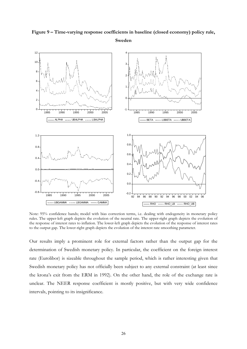

# **Figure 9 – Time-varying response coefficients in baseline (closed economy) policy rule, Sweden**

Note: 95% confidence bands; model with bias correction terms, i.e. dealing with endogeneity in monetary policy rules. The upper-left graph depicts the evolution of the neutral rate. The upper-right graph depicts the evolution of the response of interest rates to inflation. The lower-left graph depicts the evolution of the response of interest rates to the output gap. The lower-right graph depicts the evolution of the interest rate smoothing parameter.

Our results imply a prominent role for external factors rather than the output gap for the determination of Swedish monetary policy. In particular, the coefficient on the foreign interest rate (Eurolibor) is sizeable throughout the sample period, which is rather interesting given that Swedish monetary policy has not officially been subject to any external constraint (at least since the krona's exit from the ERM in 1992). On the other hand, the role of the exchange rate is unclear. The NEER response coefficient is mostly positive, but with very wide confidence intervals, pointing to its insignificance.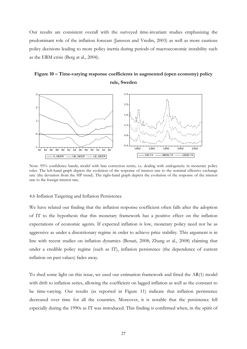Our results are consistent overall with the surveyed time-invariant studies emphasizing the predominant role of the inflation forecast (Jansson and Vredin, 2003) as well as more cautious policy decisions leading to more policy inertia during periods of macroeconomic instability such as the ERM crisis (Berg at al., 2004).

# **Figure 10 – Time-varying response coefficients in augmented (open economy) policy rule, Sweden**



Note: 95% confidence bands; model with bias correction terms, i.e. dealing with endogeneity in monetary policy rules. The left-hand graph depicts the evolution of the response of interest rate to the nominal effective exchange rate (the deviation from the HP trend). The right-hand graph depicts the evolution of the response of the interest rate to the foreign interest rate.

#### 4.6 Inflation Targeting and Inflation Persistence

We have related our finding that the inflation response coefficient often falls after the adoption of IT to the hypothesis that this monetary framework has a positive effect on the inflation expectations of economic agents. If expected inflation is low, monetary policy need not be as aggressive as under a discretionary regime in order to achieve price stability. This argument is in line with recent studies on inflation dynamics (Benati, 2008; Zhang et al., 2008) claiming that under a credible policy regime (such as IT), inflation persistence (the dependence of current inflation on past values) fades away.

To shed some light on this issue, we used our estimation framework and fitted the AR(1) model with drift to inflation series, allowing the coefficient on lagged inflation as well as the constant to be time-varying. Our results (as reported in Figure 11) indicate that inflation persistence decreased over time for all the countries. Moreover, it is notable that the persistence fell especially during the 1990s as IT was introduced. This finding is confirmed when, in the spirit of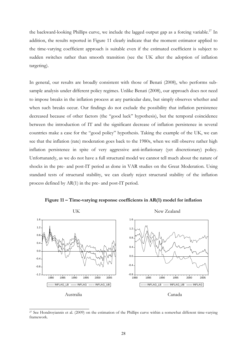the backward-looking Phillips curve, we include the lagged output gap as a forcing variable.<sup>27</sup> In addition, the results reported in Figure 11 clearly indicate that the moment estimator applied to the time-varying coefficient approach is suitable even if the estimated coefficient is subject to sudden switches rather than smooth transition (see the UK after the adoption of inflation targeting).

In general, our results are broadly consistent with those of Benati (2008), who performs subsample analysis under different policy regimes. Unlike Benati (2008), our approach does not need to impose breaks in the inflation process at any particular date, but simply observes whether and when such breaks occur. Our findings do not exclude the possibility that inflation persistence decreased because of other factors (the "good luck" hypothesis), but the temporal coincidence between the introduction of IT and the significant decrease of inflation persistence in several countries make a case for the "good policy" hypothesis. Taking the example of the UK, we can see that the inflation (rate) moderation goes back to the 1980s, when we still observe rather high inflation persistence in spite of very aggressive anti-inflationary (yet discretionary) policy. Unfortunately, as we do not have a full structural model we cannot tell much about the nature of shocks in the pre- and post-IT period as done in VAR studies on the Great Moderation. Using standard tests of structural stability, we can clearly reject structural stability of the inflation process defined by AR(1) in the pre- and post-IT period.





 $\frac{27}{27}$  See Hondroyiannis et al. (2009) on the estimation of the Phillips curve within a somewhat different time-varying framework.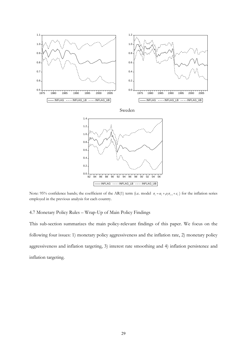

Note: 95% confidence bands; the coefficient of the AR(1) term (i.e. model  $\pi_t = \alpha_t + \rho_t \pi_{t-1} + \varepsilon_t$ ) for the inflation series employed in the previous analysis for each country.

4.7 Monetary Policy Rules – Wrap-Up of Main Policy Findings

This sub-section summarizes the main policy-relevant findings of this paper. We focus on the following four issues: 1) monetary policy aggressiveness and the inflation rate, 2) monetary policy aggressiveness and inflation targeting, 3) interest rate smoothing and 4) inflation persistence and inflation targeting.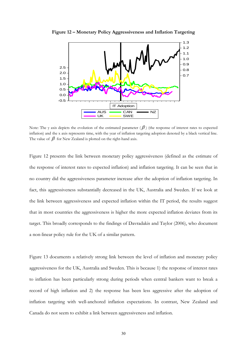

**Figure 12 – Monetary Policy Aggressiveness and Inflation Targeting** 

Note: The y axis depicts the evolution of the estimated parameter  $(\beta)$  (the response of interest rates to expected inflation) and the x axis represents time, with the year of inflation targeting adoption denoted by a black vertical line. The value of  $\beta$  for New Zealand is plotted on the right-hand axis.

Figure 12 presents the link between monetary policy aggressiveness (defined as the estimate of the response of interest rates to expected inflation) and inflation targeting. It can be seen that in no country did the aggressiveness parameter increase after the adoption of inflation targeting. In fact, this aggressiveness substantially decreased in the UK, Australia and Sweden. If we look at the link between aggressiveness and expected inflation within the IT period, the results suggest that in most countries the aggressiveness is higher the more expected inflation deviates from its target. This broadly corresponds to the findings of Davradakis and Taylor (2006), who document a non-linear policy rule for the UK of a similar pattern.

Figure 13 documents a relatively strong link between the level of inflation and monetary policy aggressiveness for the UK, Australia and Sweden. This is because 1) the response of interest rates to inflation has been particularly strong during periods when central bankers want to break a record of high inflation and 2) the response has been less aggressive after the adoption of inflation targeting with well-anchored inflation expectations. In contrast, New Zealand and Canada do not seem to exhibit a link between aggressiveness and inflation.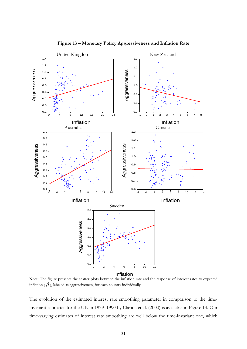

**Figure 13 – Monetary Policy Aggressiveness and Inflation Rate** 

Note: The figure presents the scatter plots between the inflation rate and the response of interest rates to expected inflation ( $\beta$ ), labeled as aggressiveness, for each country individually.

The evolution of the estimated interest rate smoothing parameter in comparison to the timeinvariant estimates for the UK in 1979–1990 by Clarida et al. (2000) is available in Figure 14. Our time-varying estimates of interest rate smoothing are well below the time-invariant one, which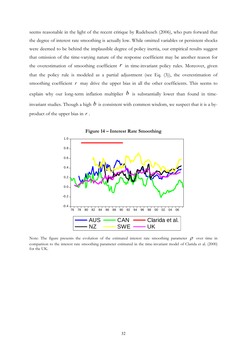seems reasonable in the light of the recent critique by Rudebusch (2006), who puts forward that the degree of interest rate smoothing is actually low. While omitted variables or persistent shocks were deemed to be behind the implausible degree of policy inertia, our empirical results suggest that omission of the time-varying nature of the response coefficient may be another reason for the overestimation of smoothing coefficient  $r$  in time-invariant policy rules. Moreover, given that the policy rule is modeled as a partial adjustment (see Eq. (3)), the overestimation of smoothing coefficient  $r$  may drive the upper bias in all the other coefficients. This seems to explain why our long-term inflation multiplier  $b$  is substantially lower than found in timeinvariant studies. Though a high  $b$  is consistent with common wisdom, we suspect that it is a byproduct of the upper bias in *r* .



**Figure 14 – Interest Rate Smoothing** 

Note: The figure presents the evolution of the estimated interest rate smoothing parameter  $\rho$  over time in comparison to the interest rate smoothing parameter estimated in the time-invariant model of Clarida et al. (2000) for the UK.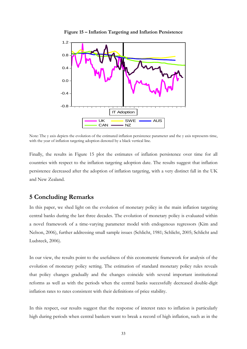

**Figure 15 – Inflation Targeting and Inflation Persistence** 

Note: The y axis depicts the evolution of the estimated inflation persistence parameter and the y axis represents time, with the year of inflation targeting adoption denoted by a black vertical line.

Finally, the results in Figure 15 plot the estimates of inflation persistence over time for all countries with respect to the inflation targeting adoption date. The results suggest that inflation persistence decreased after the adoption of inflation targeting, with a very distinct fall in the UK and New Zealand.

# **5 Concluding Remarks**

In this paper, we shed light on the evolution of monetary policy in the main inflation targeting central banks during the last three decades. The evolution of monetary policy is evaluated within a novel framework of a time-varying parameter model with endogenous regressors (Kim and Nelson, 2006), further addressing small sample issues (Schlicht, 1981; Schlicht, 2005; Schlicht and Ludsteck, 2006).

In our view, the results point to the usefulness of this econometric framework for analysis of the evolution of monetary policy setting. The estimation of standard monetary policy rules reveals that policy changes gradually and the changes coincide with several important institutional reforms as well as with the periods when the central banks successfully decreased double-digit inflation rates to rates consistent with their definitions of price stability.

In this respect, our results suggest that the response of interest rates to inflation is particularly high during periods when central bankers want to break a record of high inflation, such as in the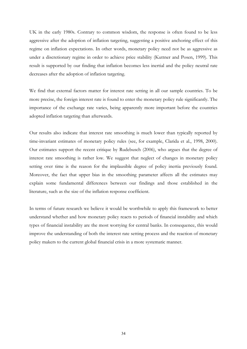UK in the early 1980s. Contrary to common wisdom, the response is often found to be less aggressive after the adoption of inflation targeting, suggesting a positive anchoring effect of this regime on inflation expectations. In other words, monetary policy need not be as aggressive as under a discretionary regime in order to achieve price stability (Kuttner and Posen, 1999). This result is supported by our finding that inflation becomes less inertial and the policy neutral rate decreases after the adoption of inflation targeting.

We find that external factors matter for interest rate setting in all our sample countries. To be more precise, the foreign interest rate is found to enter the monetary policy rule significantly. The importance of the exchange rate varies, being apparently more important before the countries adopted inflation targeting than afterwards.

Our results also indicate that interest rate smoothing is much lower than typically reported by time-invariant estimates of monetary policy rules (see, for example, Clarida et al., 1998, 2000). Our estimates support the recent critique by Rudebusch (2006), who argues that the degree of interest rate smoothing is rather low. We suggest that neglect of changes in monetary policy setting over time is the reason for the implausible degree of policy inertia previously found. Moreover, the fact that upper bias in the smoothing parameter affects all the estimates may explain some fundamental differences between our findings and those established in the literature, such as the size of the inflation response coefficient.

In terms of future research we believe it would be worthwhile to apply this framework to better understand whether and how monetary policy reacts to periods of financial instability and which types of financial instability are the most worrying for central banks. In consequence, this would improve the understanding of both the interest rate setting process and the reaction of monetary policy makers to the current global financial crisis in a more systematic manner.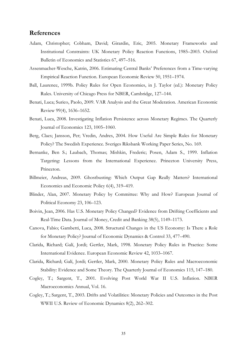## **References**

- Adam, Christopher; Cobham, David; Girardin, Eric, 2005. Monetary Frameworks and Institutional Constraints: UK Monetary Policy Reaction Functions, 1985–2003. Oxford Bulletin of Economics and Statistics 67, 497–516.
- Assenmacher-Wesche, Katrin, 2006. Estimating Central Banks' Preferences from a Time-varying Empirical Reaction Function. European Economic Review 50, 1951–1974.
- Ball, Laurence, 1999b. Policy Rules for Open Economies, in J. Taylor (ed.): Monetary Policy Rules. University of Chicago Press for NBER, Cambridge, 127–144.
- Benati, Luca; Surico, Paolo, 2009. VAR Analysis and the Great Moderation. American Economic Review 99(4), 1636–1652.
- Benati, Luca, 2008. Investigating Inflation Persistence across Monetary Regimes. The Quarterly Journal of Economics 123, 1005–1060.
- Berg, Claes; Jansson, Per; Vredin, Andres, 2004. How Useful Are Simple Rules for Monetary Policy? The Swedish Experience. Sveriges Riksbank Working Paper Series, No. 169.
- Bernanke, Ben S.; Laubach, Thomas; Mishkin, Frederic; Posen, Adam S., 1999. Inflation Targeting: Lessons from the International Experience. Princeton University Press, Princeton.
- Billmeier, Andreas, 2009. Ghostbusting: Which Output Gap Really Matters? International Economics and Economic Policy 6(4), 319–419.
- Blinder, Alan, 2007. Monetary Policy by Committee: Why and How? European Journal of Political Economy 23, 106–123.
- Boivin, Jean, 2006. Has U.S. Monetary Policy Changed? Evidence from Drifting Coefficients and Real-Time Data. Journal of Money, Credit and Banking 38(5), 1149–1173.
- Canova, Fabio; Gambetti, Luca, 2008. Structural Changes in the US Economy: Is There a Role for Monetary Policy? Journal of Economic Dynamics & Control 33, 477–490.
- Clarida, Richard; Galí, Jordi; Gertler, Mark, 1998. Monetary Policy Rules in Practice: Some International Evidence. European Economic Review 42, 1033–1067.
- Clarida, Richard; Galí, Jordi; Gertler, Mark, 2000. Monetary Policy Rules and Macroeconomic Stability: Evidence and Some Theory. The Quarterly Journal of Economics 115, 147–180.
- Cogley, T.; Sargent, T., 2001. Evolving Post World War II U.S. Inflation. NBER Macroeconomics Annual, Vol. 16.
- Cogley, T.; Sargent, T., 2003. Drifts and Volatilities: Monetary Policies and Outcomes in the Post WWII U.S. Review of Economic Dynamics 8(2), 262–302.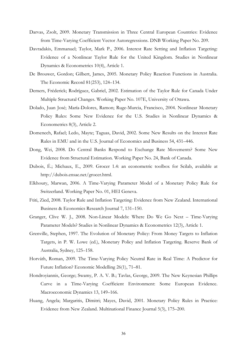- Darvas, Zsolt, 2009. Monetary Transmission in Three Central European Countries: Evidence from Time-Varying Coefficient Vector Autoregressions. DNB Working Paper No. 209.
- Davradakis, Emmanuel; Taylor, Mark P., 2006. Interest Rate Setting and Inflation Targeting: Evidence of a Nonlinear Taylor Rule for the United Kingdom. Studies in Nonlinear Dynamics & Econometrics 10(4), Article 1.
- De Brouwer, Gordon; Gilbert, James, 2005. Monetary Policy Reaction Functions in Australia. The Economic Record 81(253), 124–134.
- Demers, Fréderick; Rodríguez, Gabriel, 2002. Estimation of the Taylor Rule for Canada Under Multiple Structural Changes. Working Paper No. 107E, University of Ottawa.
- Dolado, Juan José; María-Dolores, Ramon; Ruge-Murcia, Francisco, 2004. Nonlinear Monetary Policy Rules: Some New Evidence for the U.S. Studies in Nonlinear Dynamics & Econometrics 8(3), Article 2.
- Domenech, Rafael; Ledo, Mayte; Taguas, David, 2002. Some New Results on the Interest Rate Rules in EMU and in the U.S. Journal of Economics and Business 54, 431–446.
- Dong, Wei, 2008. Do Central Banks Respond to Exchange Rate Movements? Some New Evidence from Structural Estimation. Working Paper No. 24, Bank of Canada.
- Dubois, É.; Michaux, E., 2009. Grocer 1.4: an econometric toolbox for Scilab, available at http://dubois.ensae.net/grocer.html.
- Elkhoury, Marwan, 2006. A Time-Varying Parameter Model of a Monetary Policy Rule for Switzerland. Working Paper No. 01, HEI Geneva.
- Ftiti, Zied, 2008. Taylor Rule and Inflation Targeting: Evidence from New Zealand. International Business & Economics Research Journal 7, 131–150.
- Granger, Clive W. J., 2008. Non-Linear Models: Where Do We Go Next Time-Varying Parameter Models? Studies in Nonlinear Dynamics & Econometrics 12(3), Article 1.
- Grenville, Stephen, 1997. The Evolution of Monetary Policy: From Money Targets to Inflation Targets, in P. W. Lowe (ed.), Monetary Policy and Inflation Targeting. Reserve Bank of Australia, Sydney, 125–158.
- Horváth, Roman, 2009. The Time-Varying Policy Neutral Rate in Real Time: A Predictor for Future Inflation? Economic Modelling 26(1), 71–81.
- Hondroyiannis, George; Swamy, P. A. V. B.; Tavlas, George, 2009. The New Keynesian Phillips Curve in a Time-Varying Coefficient Environment: Some European Evidence. Macroeconomic Dynamics 13, 149–166.
- Huang, Angela; Margaritis, Dimitri; Mayes, David, 2001. Monetary Policy Rules in Practice: Evidence from New Zealand. Multinational Finance Journal 5(3), 175–200.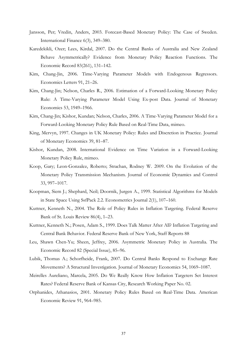- Jansson, Per; Vredin, Anders, 2003. Forecast-Based Monetary Policy: The Case of Sweden. International Finance 6(3), 349–380.
- Karedekikli, Ozer; Lees, Kirdal, 2007. Do the Central Banks of Australia and New Zealand Behave Asymmetrically? Evidence from Monetary Policy Reaction Functions. The Economic Record 83(261), 131–142.
- Kim, Chang-Jin, 2006. Time-Varying Parameter Models with Endogenous Regressors. Economics Letters 91, 21–26.
- Kim, Chang-Jin; Nelson, Charles R., 2006. Estimation of a Forward-Looking Monetary Policy Rule: A Time-Varying Parameter Model Using Ex-post Data. Journal of Monetary Economics 53, 1949–1966.
- Kim, Chang-Jin; Kishor, Kundan; Nelson, Charles, 2006. A Time-Varying Parameter Model for a Forward-Looking Monetary Policy Rule Based on Real-Time Data, mimeo.
- King, Mervyn, 1997. Changes in UK Monetary Policy: Rules and Discretion in Practice. Journal of Monetary Economics 39, 81–87.
- Kishor, Kundan, 2008. International Evidence on Time Variation in a Forward-Looking Monetary Policy Rule, mimeo.
- Koop, Gary; Leon-Gonzalez, Roberto; Strachan, Rodney W. 2009. On the Evolution of the Monetary Policy Transmission Mechanism. Journal of Economic Dynamics and Control 33, 997–1017.
- Koopman, Siem J.; Shephard, Neil; Doornik, Jurgen A., 1999. Statistical Algorithms for Models in State Space Using SsfPack 2.2. Econometrics Journal 2(1), 107–160.
- Kuttner, Kenneth N., 2004. The Role of Policy Rules in Inflation Targeting. Federal Reserve Bank of St. Louis Review 86(4), 1–23.
- Kuttner, Kenneth N.; Posen, Adam S., 1999. Does Talk Matter After All? Inflation Targeting and Central Bank Behavior. Federal Reserve Bank of New York, Staff Reports 88
- Leu, Shawn Chen-Yu; Sheen, Jeffrey, 2006. Asymmetric Monetary Policy in Australia. The Economic Record 82 (Special Issue), 85–96.
- Lubik, Thomas A.; Schorfheide, Frank, 2007. Do Central Banks Respond to Exchange Rate Movements? A Structural Investigation. Journal of Monetary Economics 54, 1069–1087.
- Meirelles Aureliano, Marcela, 2005. Do We Really Know How Inflation Targeters Set Interest Rates? Federal Reserve Bank of Kansas City, Research Working Paper No. 02.
- Orphanides, Athanasios, 2001. Monetary Policy Rules Based on Real-Time Data. American Economic Review 91, 964–985.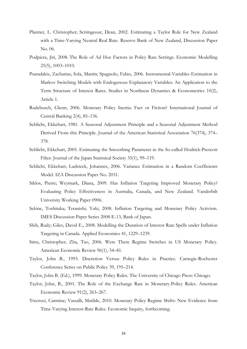- Plantier, L. Christopher; Scrimgeour, Dean, 2002. Estimating a Taylor Rule for New Zealand with a Time-Varying Neutral Real Rate. Reserve Bank of New Zealand, Discussion Paper No. 06.
- Podpiera, Jiri, 2008. The Role of Ad Hoc Factors in Policy Rate Settings. Economic Modelling 25(5), 1003–1010.
- Psaradakis, Zacharias; Sola, Martin; Spagnolo, Fabio, 2006. Instrumental-Variables Estimation in Markov Switching Models with Endogenous Explanatory Variables: An Application to the Term Structure of Interest Rates. Studies in Nonlinear Dynamics & Econometrics 10(2), Article 1.
- Rudebusch, Glenn, 2006. Monetary Policy Inertia: Fact or Fiction? International Journal of Central Banking 2(4), 85–136.
- Schlicht, Ekkehart, 1981. A Seasonal Adjustment Principle and a Seasonal Adjustment Method Derived From this Principle. Journal of the American Statistical Association 76(374), 374– 378.
- Schlicht, Ekkehart, 2005. Estimating the Smoothing Parameter in the So-called Hodrick-Prescott Filter. Journal of the Japan Statistical Society 35(1), 99–119.
- Schlicht, Ekkehart; Ludsteck, Johannes, 2006. Variance Estimation in a Random Coefficients Model. IZA Discussion Paper No. 2031.
- Siklos, Pierre; Weymark, Diana, 2009. Has Inflation Targeting Improved Monetary Policy? Evaluating Policy Effectiveness in Australia, Canada, and New Zealand. Vanderbilt University Working Paper 0906.
- Sekine, Toshitaka; Teranishi, Yuki, 2008. Inflation Targeting and Monetary Policy Activism. IMES Discussion Paper Series 2008-E-13, Bank of Japan.
- Shih, Rudy; Giles, David E., 2008. Modelling the Duration of Interest Rate Spells under Inflation Targeting in Canada. Applied Economics 41, 1229–1239.
- Sims, Christopher; Zha, Tao, 2006. Were There Regime Switches in US Monetary Policy. American Economic Review 96(1), 54–81.
- Taylor, John B., 1993. Discretion Versus Policy Rules in Practice. Carnegie-Rochester Conference Series on Public Policy 39, 195–214.
- Taylor, John B. (Ed.), 1999. Monetary Policy Rules. The University of Chicago Press: Chicago.
- Taylor, John, B., 2001. The Role of the Exchange Rate in Monetary-Policy Rules. American Economic Review 91(2), 263–267.
- Trecroci, Carmine; Vassalli, Matilde, 2010. Monetary Policy Regime Shifts: New Evidence from Time-Varying Interest-Rate Rules. Economic Inquiry, forthcoming.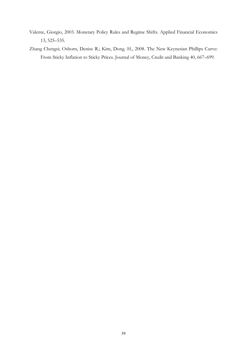- Valente, Giorgio, 2003. Monetary Policy Rules and Regime Shifts. Applied Financial Economics 13, 525–535.
- Zhang Chengsi; Osborn, Denise R.; Kim, Dong. H., 2008. The New Keynesian Phillips Curve: From Sticky Inflation to Sticky Prices. Journal of Money, Credit and Banking 40, 667–699.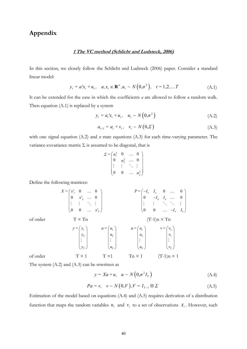# **Appendix**

#### **1 The VC method (Schlicht and Ludsteck, 2006)**

In this section, we closely follow the Schlicht and Ludsteck (2006) paper. Consider a standard linear model:

$$
y_t = a'x_t + u_t, \quad a, x_t \in \mathbb{R}^n, u_t \sim N(0, \sigma^2), \quad t = 1, 2, \dots T
$$
 (A.1)

It can be extended for the case in which the coefficients *a* are allowed to follow a random walk. Then equation (A.1) is replaced by a system

$$
y_t = a_t' x_t + u_t, \quad u_t \sim N\left(0, \sigma^2\right) \tag{A.2}
$$

$$
a_{t+1} = a_t + v_t, \quad v_t \sim N(0, \Sigma) \tag{A.3}
$$

with one signal equation (A.2) and *n* state equations (A.3) for each time-varying parameter. The variance-covariance matrix  $\Sigma$  is assumed to be diagonal, that is

$$
\Sigma = \begin{pmatrix} \sigma_1^2 & 0 & \dots & 0 \\ 0 & \sigma_2^2 & \dots & 0 \\ \vdots & \vdots & \ddots & \vdots \\ 0 & 0 & \dots & \sigma_n^2 \end{pmatrix}
$$

Define the following matrices:

$$
X = \begin{pmatrix} x_1' & 0 & \dots & 0 \\ 0 & x_2' & \dots & 0 \\ \vdots & \vdots & \ddots & \vdots \\ 0 & 0 & \dots & x_r' \end{pmatrix} \qquad P = \begin{pmatrix} -I_n & I_n & 0 & \dots & 0 \\ 0 & -I_n & I_n & \dots & 0 \\ \vdots & \vdots & \ddots & \ddots & \vdots \\ 0 & 0 & \dots & -I_n & I_n \end{pmatrix}
$$
  
of order 
$$
T \times Tn
$$

$$
y = \begin{pmatrix} y_1 \\ y_2 \\ \vdots \\ y_r \end{pmatrix} \qquad u = \begin{pmatrix} u_1 \\ u_2 \\ \vdots \\ u_r \end{pmatrix} \qquad a = \begin{pmatrix} a_1 \\ a_2 \\ \vdots \\ a_r \end{pmatrix} \qquad v = \begin{pmatrix} v_2 \\ v_3 \\ \vdots \\ v_r \end{pmatrix}
$$
  
of order 
$$
T \times 1
$$

$$
T \times 1
$$

$$
T \times 1
$$

$$
T \times 1
$$

$$
T \times 1
$$

$$
T \times 1
$$

$$
T \times 1
$$

$$
T \times 1
$$

$$
T \times 1
$$

$$
T \times 1
$$

$$
T \times 1
$$

$$
T \times 1
$$

$$
T \times 1
$$

$$
T \times 1
$$

$$
T \times 1
$$

$$
T \times 1
$$

$$
T \times 1
$$

$$
T \times 1
$$

$$
T \times 1
$$

$$
T \times 1
$$

$$
T \times 1
$$

$$
T \times 1
$$

$$
T \times 1
$$

$$
T \times 1
$$

$$
T \times 1
$$

$$
T \times 1
$$

$$
T \times 1
$$

$$
T \times 1
$$

$$
T \times 1
$$

$$
T \times 1
$$

$$
T \times 1
$$

$$
T \times 1
$$

$$
T \times 1
$$

$$
T \times 1
$$

$$
T \times 1
$$

The system (A.2) and (A.3) can be rewritten as

$$
y = Xa + u, \quad u \sim N\left(0, \sigma^2 I_T\right) \tag{A.4}
$$

$$
Pa = v, \quad v \sim N(0, V), V = I_{T-1} \otimes \Sigma \tag{A.5}
$$

Estimation of the model based on equations (A.4) and (A.5) requires derivation of a distribution function that maps the random variables  $u_t$  and  $v_t$  to a set of observations  $X_t$ . However, such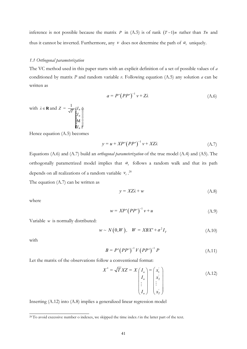inference is not possible because the matrix *P* in  $(A.5)$  is of rank  $(T-1)n$  rather than *Tn* and thus it cannot be inverted. Furthermore, any  $v$  does not determine the path of  $a_t$  uniquely.

#### *1.1 Orthogonal parameterization*

The VC method used in this paper starts with an explicit definition of a set of possible values of *a* conditioned by matrix *P* and random variable *v*. Following equation (A.5) any solution *a* can be written as

$$
a = P'(PP')^{-1} v + Z\lambda
$$
 (A.6)

with  $\lambda \in \mathbf{R}$  and  $Z = \frac{1}{\sqrt{T}} \hat{\alpha} I_n$ *n*  $Z = \frac{1}{\sqrt{T}} \oint_{\mathcal{E}} I$ *I*  $\begin{array}{c}\n\mathbf{c} \mathbf{I}_n \\
\mathbf{c} \mathbf{c} \\
\mathbf{c} \mathbf{I}_n \\
\mathbf{c} \mathbf{I}_n\n\end{array}$ M

Hence equation (A.5) becomes

*n*

.

$$
y = u + XP'\left( PP'\right)^{-1} v + XZ\lambda \tag{A.7}
$$

Equations (A.6) and (A.7) build an *orthogonal parameterization* of the true model (A.4) and (A5). The orthogonally parametrized model implies that  $a_t$  follows a random walk and that its path depends on all realizations of a random variable  $v_t$ .<sup>28</sup>

The equation (A.7) can be written as

$$
y = XZ\lambda + w \tag{A.8}
$$

where

$$
w = XP'\left( PP'\right)^{-1}v + u\tag{A.9}
$$

Variable *w* is normally distributed:

$$
w \sim N(0, W), \quad W = XBX' + \sigma^2 I_T \tag{A.10}
$$

with

$$
B = P' (PP')^{-1} V (PP')^{-1} P \tag{A.11}
$$

Let the matrix of the observations follow a conventional format:

$$
X^* = \sqrt{T} XZ = X \begin{pmatrix} I_n \\ I_n \\ \vdots \\ I_n \end{pmatrix} = \begin{pmatrix} x'_1 \\ x'_2 \\ \vdots \\ x'_n \end{pmatrix}
$$
 (A.12)

Inserting (A.12) into (A.8) implies a generalized linear regression model

<sup>&</sup>lt;sup>28</sup> To avoid excessive number o indexes, we skipped the time index *t* in the latter part of the text.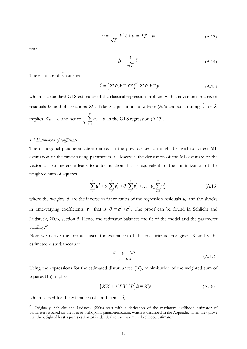$$
y = \frac{1}{\sqrt{T}} X^* \lambda + w = X\beta + w \tag{A.13}
$$

with

$$
\hat{\beta} = \frac{1}{\sqrt{T}} \hat{\lambda} \tag{A.14}
$$

The estimate of  $\hat{\lambda}$  satisfies

$$
\hat{\lambda} = \left( Z'X'W^{-1}XZ \right)^{-1} Z'X'W^{-1}y \tag{A.15}
$$

which is a standard GLS estimator of the classical regression problem with a covariance matrix of residuals *W* and observations *ZX*. Taking expectations of *a* from (A.6) and substituting  $\hat{\lambda}$  for  $\lambda$ implies  $Z'a = \lambda$  and hence 1  $1\frac{7}{2}$ *t*  $\frac{1}{T}\sum_{t=1}^{T} a_t = \beta$  in the GLS regression (A.13).

#### *1.2 Estimation of coefficients*

The orthogonal parameterization derived in the previous section might be used for direct ML estimation of the time-varying parameters *a*. However, the derivation of the ML estimate of the vector of parameters *a* leads to a formulation that is equivalent to the minimization of the weighted sum of squares

$$
\sum_{t=1}^{T} u^2 + \theta_1 \sum_{t=1}^{T} v_1^2 + \theta_2 \sum_{t=1}^{T} v_2^2 + \dots + \theta_n \sum_{t=1}^{T} v_n^2
$$
\n(A.16)

where the weights  $\theta_i$  are the inverse variance ratios of the regression residuals  $u_i$  and the shocks in time-varying coefficients  $v_i$ , that is  $\theta_i = \sigma^2 / \sigma_i^2$ . The proof can be found in Schlicht and Ludsteck, 2006, section 5. Hence the estimator balances the fit of the model and the parameter stability.<sup>29</sup>

Now we derive the formula used for estimation of the coefficients. For given X and y the estimated disturbances are

$$
\hat{u} = y - X\hat{a} \n\hat{v} = P\hat{a}
$$
\n(A.17)

Using the expressions for the estimated disturbances (16), minimization of the weighted sum of squares (15) implies

$$
(X'X + \sigma^2 P'V^{-1}P)\hat{a} = X'y \tag{A.18}
$$

which is used for the estimation of coefficients  $\hat{a}_t$ .

<sup>&</sup>lt;sup>29</sup> Originally, Schlicht and Ludsteck (2006) start with a derivation of the maximum likelihood estimator of parameters *a* based on the idea of orthogonal parameterization, which is described in the Appendix. Then they prove that the weighted least squares estimator is identical to the maximum likelihood estimator.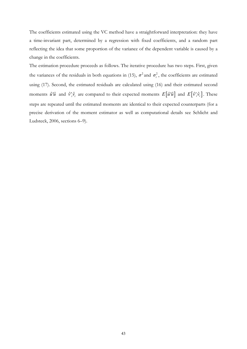The coefficients estimated using the VC method have a straightforward interpretation: they have a time-invariant part, determined by a regression with fixed coefficients, and a random part reflecting the idea that some proportion of the variance of the dependent variable is caused by a change in the coefficients.

The estimation procedure proceeds as follows. The iterative procedure has two steps. First, given the variances of the residuals in both equations in (15),  $\sigma^2$  and  $\sigma_i^2$ , the coefficients are estimated using (17). Second, the estimated residuals are calculated using (16) and their estimated second moments  $\hat{u}'\hat{u}$  and  $\hat{v}'_i\hat{v}_i$  are compared to their expected moments  $E[\hat{u}'\hat{u}]$  and  $E[\hat{v}'_i\hat{v}_i]$ . These steps are repeated until the estimated moments are identical to their expected counterparts (for a precise derivation of the moment estimator as well as computational details see Schlicht and Ludsteck, 2006, sections 6–9).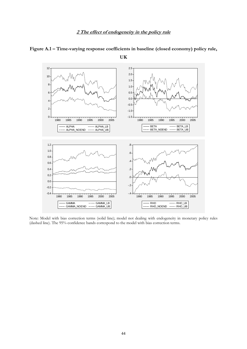## **2 The effect of endogeneity in the policy rule**



**Figure A.1 – Time-varying response coefficients in baseline (closed economy) policy rule,** 

**UK** 

Note: Model with bias correction terms (solid line); model not dealing with endogeneity in monetary policy rules (dashed line). The 95% confidence bands correspond to the model with bias correction terms.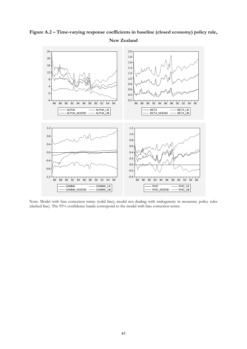

**Figure A.2 – Time-varying response coefficients in baseline (closed economy) policy rule,** 

Note: Model with bias correction terms (solid line); model not dealing with endogeneity in monetary policy rules (dashed line). The 95% confidence bands correspond to the model with bias correction terms.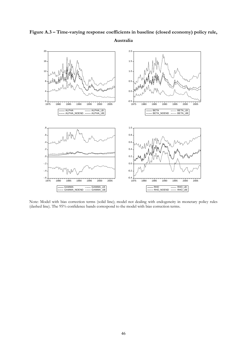



Note: Model with bias correction terms (solid line); model not dealing with endogeneity in monetary policy rules (dashed line). The 95% confidence bands correspond to the model with bias correction terms.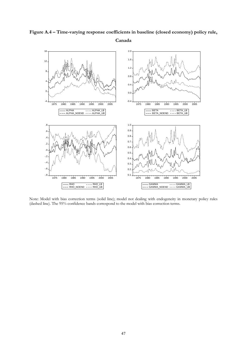

**Figure A.4 – Time-varying response coefficients in baseline (closed economy) policy rule,** 

Note: Model with bias correction terms (solid line); model not dealing with endogeneity in monetary policy rules (dashed line). The 95% confidence bands correspond to the model with bias correction terms.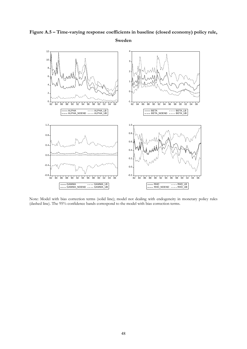



Note: Model with bias correction terms (solid line); model not dealing with endogeneity in monetary policy rules (dashed line). The 95% confidence bands correspond to the model with bias correction terms.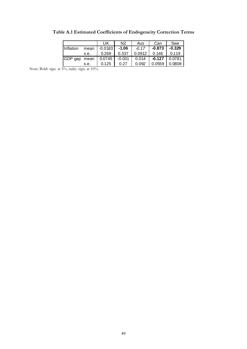|                                                          |      | UK                     | NZ. | Aus                                                 | Can                       | Swe |
|----------------------------------------------------------|------|------------------------|-----|-----------------------------------------------------|---------------------------|-----|
| <i>Inflation</i>                                         |      | mean   -0.0183   -1.06 |     |                                                     | $-0.17$ $-0.873$ $-0.329$ |     |
|                                                          | s.e. |                        |     | 0.269   0.337   0.0912   0.146   0.119              |                           |     |
| GDP gap mean   0.0745   -0.031   0.014   -0.127   0.0781 |      |                        |     |                                                     |                           |     |
|                                                          | s.e. | $0.125$ 0.27           |     | $\vert$ 0.092 $\vert$ 0.0559 $\vert$ 0.0808 $\vert$ |                           |     |

**Table A.1 Estimated Coefficients of Endogeneity Correction Terms** 

Note: Bold: sign. at 5%, italic: sign. at 10%.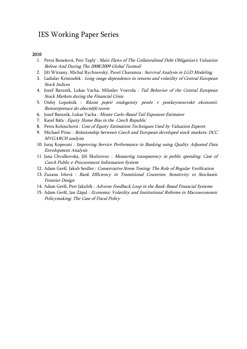# IES Working Paper Series

#### 2010

- 1. Petra Benešová, Petr Teplý : Main Flaws of The Collateralized Debt Obligation's Valuation Before And During The 2008/2009 Global Turmoil
- 2. Jiří Witzany, Michal Rychnovský, Pavel Charamza : Survival Analysis in LGD Modeling
- 3. Ladislav Kristoufek : Long-range dependence in returns and volatility of Central European Stock Indices
- 4. Jozef Barunik, Lukas Vacha, Miloslav Vosvrda : Tail Behavior of the Central European Stock Markets during the Financial Crisis
- 5. Onřej Lopušník : Různá pojetí endogenity peněz v postkeynesovské ekonomii: Reinterpretace do obecnější teorie
- 6. Jozef Barunik, Lukas Vacha : Monte Carlo-Based Tail Exponent Estimator
- 7. Karel Báťa : Equity Home Bias in the Czech Republic
- 8. Petra Kolouchová : Cost of Equity Estimation Techniques Used by Valuation Experts
- 9. Michael Princ : Relationship between Czech and European developed stock markets: DCC MVGARCH analysis
- 10. Juraj Kopecsni : Improving Service Performance in Banking using Quality Adjusted Data Envelopment Analysis
- 11. Jana Chvalkovská, Jiří Skuhrovec : Measuring transparency in public spending: Case of Czech Public e-Procurement Information System
- 12. Adam Geršl, Jakub Seidler : Conservative Stress Testing: The Role of Regular Verification
- 13. Zuzana Iršová : Bank Efficiency in Transitional Countries: Sensitivity to Stochastic Frontier Design
- 14. Adam Geršl, Petr Jakubík : Adverse Feedback Loop in the Bank-Based Financial Systems
- 15. Adam Geršl, Jan Zápal : Economic Volatility and Institutional Reforms in Macroeconomic Policymaking: The Case of Fiscal Policy